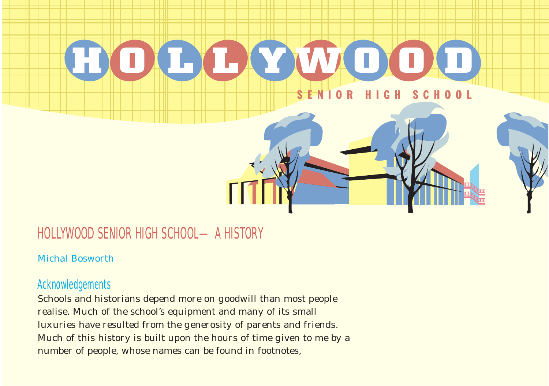

# HOLLYWOOD SENIOR HIGH SCHOOL—A HISTORY

#### Michal Bosworth

## Acknowledgements

Schools and historians depend more on goodwill than most people realise. Much of the school's equipment and many of its small luxuries have resulted from the generosity of parents and friends. Much of this history is built upon the hours of time given to me by a number of people, whose names can be found in footnotes,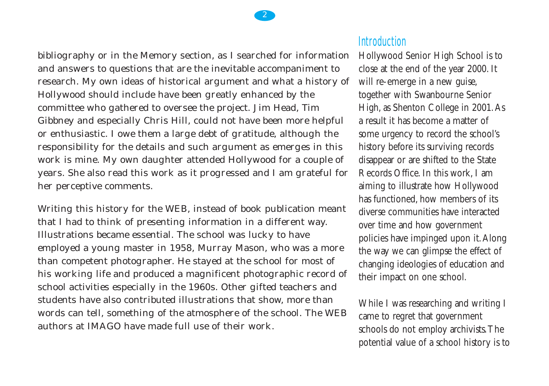2

bibliography or in the Memory section, as I searched for information and answers to questions that are the inevitable accompaniment to research. My own ideas of historical argument and what a history of Hollywood should include have been greatly enhanced by the committee who gathered to oversee the project. Jim Head, Tim Gibbney and especially Chris Hill, could not have been more helpful or enthusiastic. I owe them a large debt of gratitude, although the responsibility for the details and such argument as emerges in this work is mine. My own daughter attended Hollywood for a couple of years. She also read this work as it progressed and I am grateful for her perceptive comments.

Writing this history for the WEB, instead of book publication meant that I had to think of presenting information in a different way. Illustrations became essential. The school was lucky to have employed a young master in 1958, Murray Mason, who was a more than competent photographer. He stayed at the school for most of his working life and produced a magnificent photographic record of school activities especially in the 1960s. Other gifted teachers and students have also contributed illustrations that show, more than words can tell, something of the atmosphere of the school. The WEB authors at IMAGO have made full use of their work.

#### **Introduction**

Hollywood Senior High School is to close at the end of the year 2000. It will re-emerge in a new guise, together with Swanbourne Senior High, as Shenton College in 2001.As a result it has become a matter of some urgency to record the school's history before its surviving records disappear or are shifted to the State Records Office. In this work, I am aiming to illustrate how Hollywood has functioned, how members of its diverse communities have interacted over time and how government policies have impinged upon it.Along the way we can glimpse the effect of changing ideologies of education and their impact on one school.

While I was researching and writing I came to regret that government schools do not employ archivists.The potential value of a school history is to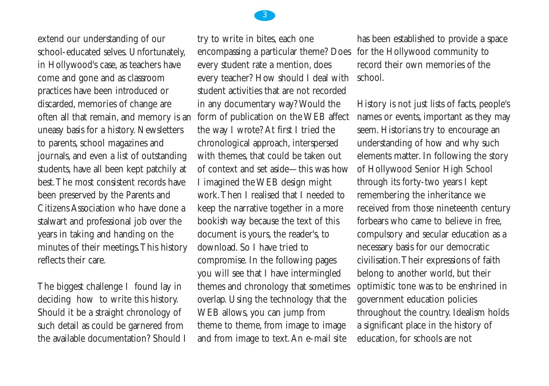extend our understanding of our school-educated selves. Unfortunately, in Hollywood's case, as teachers have come and gone and as classroom practices have been introduced or discarded, memories of change are often all that remain, and memory is an uneasy basis for a history. Newsletters to parents, school magazines and journals, and even a list of outstanding students, have all been kept patchily at best.The most consistent records have been preserved by the Parents and Citizens Association who have done a stalwart and professional job over the years in taking and handing on the minutes of their meetings.This history reflects their care.

The biggest challenge I found lay in deciding how to write this history. Should it be a straight chronology of such detail as could be garnered from the available documentation? Should I

try to write in bites, each one encompassing a particular theme? Does for the Hollywood community to every student rate a mention, does every teacher? How should I deal with student activities that are not recorded in any documentary way? Would the form of publication on the WEB affect the way I wrote? At first I tried the chronological approach, interspersed with themes, that could be taken out of context and set aside—this was how I imagined the WEB design might work.Then I realised that I needed to keep the narrative together in a more bookish way because the text of this document is yours, the reader's, to download. So I have tried to compromise. In the following pages you will see that I have intermingled themes and chronology that sometimes overlap. Using the technology that the WEB allows, you can jump from theme to theme, from image to image and from image to text.An e-mail site

has been established to provide a space record their own memories of the school.

History is not just lists of facts, people's names or events, important as they may seem. Historians try to encourage an understanding of how and why such elements matter. In following the story of Hollywood Senior High School through its forty-two years I kept remembering the inheritance we received from those nineteenth century forbears who came to believe in free, compulsory and secular education as a necessary basis for our democratic civilisation.Their expressions of faith belong to another world, but their optimistic tone was to be enshrined in government education policies throughout the country. Idealism holds a significant place in the history of education, for schools are not

#### 3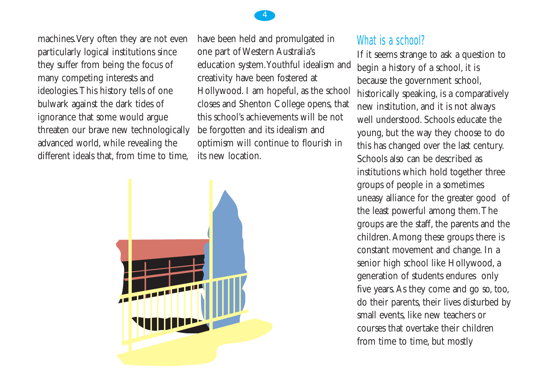### machines.Very often they are not even particularly logical institutions since they suffer from being the focus of many competing interests and ideologies.This history tells of one bulwark against the dark tides of ignorance that some would argue threaten our brave new technologically advanced world, while revealing the different ideals that, from time to time,

have been held and promulgated in one part of Western Australia's education system.Youthful idealism and creativity have been fostered at Hollywood. I am hopeful, as the school closes and Shenton College opens, that this school's achievements will be not be forgotten and its idealism and optimism will continue to flourish in its new location.



## What is a school?

If it seems strange to ask a question to begin a history of a school, it is because the government school, historically speaking, is a comparatively new institution, and it is not always well understood. Schools educate the young, but the way they choose to do this has changed over the last century. Schools also can be described as institutions which hold together three groups of people in a sometimes uneasy alliance for the greater good of the least powerful among them.The groups are the staff, the parents and the children.Among these groups there is constant movement and change. In a senior high school like Hollywood, a generation of students endures only five years.As they come and go so, too, do their parents, their lives disturbed by small events, like new teachers or courses that overtake their children from time to time, but mostly

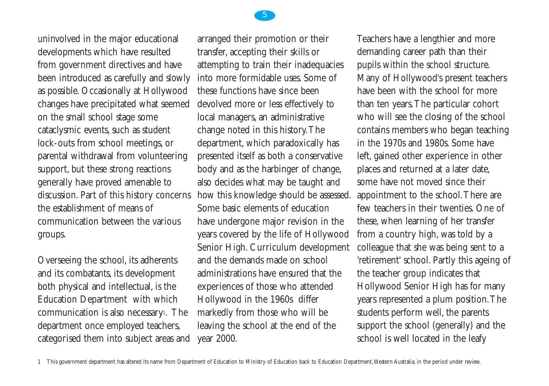uninvolved in the major educational developments which have resulted from government directives and have been introduced as carefully and slowly as possible. Occasionally at Hollywood changes have precipitated what seemed on the small school stage some cataclysmic events, such as student lock-outs from school meetings, or parental withdrawal from volunteering support, but these strong reactions generally have proved amenable to discussion. Part of this history concerns the establishment of means of communication between the various groups.

Overseeing the school, its adherents and its combatants, its development both physical and intellectual, is the Education Department with which communication is also necessary<sup>1</sup>. The department once employed teachers, categorised them into subject areas and

arranged their promotion or their transfer, accepting their skills or attempting to train their inadequacies into more formidable uses. Some of these functions have since been devolved more or less effectively to local managers, an administrative change noted in this history.The department, which paradoxically has presented itself as both a conservative body and as the harbinger of change, also decides what may be taught and how this knowledge should be assessed. Some basic elements of education have undergone major revision in the years covered by the life of Hollywood Senior High. Curriculum development and the demands made on school administrations have ensured that the experiences of those who attended Hollywood in the 1960s differ markedly from those who will be leaving the school at the end of the year 2000.

Teachers have a lengthier and more demanding career path than their pupils within the school structure. Many of Hollywood's present teachers have been with the school for more than ten years.The particular cohort who will see the closing of the school contains members who began teaching in the 1970s and 1980s. Some have left, gained other experience in other places and returned at a later date, some have not moved since their appointment to the school.There are few teachers in their twenties. One of these, when learning of her transfer from a country high, was told by a colleague that she was being sent to a 'retirement' school. Partly this ageing of the teacher group indicates that Hollywood Senior High has for many years represented a plum position.The students perform well, the parents support the school (generally) and the school is well located in the leafy

5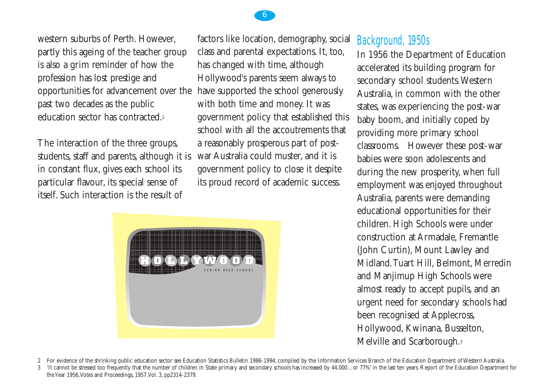western suburbs of Perth. However, partly this ageing of the teacher group is also a grim reminder of how the profession has lost prestige and opportunities for advancement over the past two decades as the public education sector has contracted.2

The interaction of the three groups, students, staff and parents, although it is in constant flux, gives each school its particular flavour, its special sense of itself. Such interaction is the result of

factors like location, demography, social class and parental expectations. It, too, has changed with time, although Hollywood's parents seem always to have supported the school generously with both time and money. It was government policy that established this school with all the accoutrements that a reasonably prosperous part of postwar Australia could muster, and it is government policy to close it despite its proud record of academic success.



## Background, 1950s

In 1956 the Department of Education accelerated its building program for secondary school students.Western Australia, in common with the other states, was experiencing the post-war baby boom, and initially coped by providing more primary school classrooms. However these post-war babies were soon adolescents and during the new prosperity, when full employment was enjoyed throughout Australia, parents were demanding educational opportunities for their children. High Schools were under construction at Armadale, Fremantle (John Curtin), Mount Lawley and Midland.Tuart Hill, Belmont, Merredin and Manjimup High Schools were almost ready to accept pupils, and an urgent need for secondary schools had been recognised at Applecross, Hollywood, Kwinana, Busselton, Melville and Scarborough.3

2 For evidence of the shrinking public education sector see Education Statistics Bulletin 1986-1994, compiled by the Information Services Branch of the Education Department of Western Australia.

3 'It cannot be stressed too frequently that the number of children in State primary and secondary schools has increased by 44,000... or 77%' in the last ten years. Report of the Education Department for the Year 1956,Votes and Proceedings, 1957,Vol. 3, pp2314-2379.

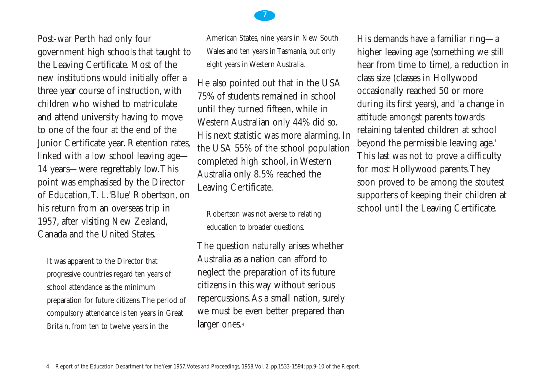Post-war Perth had only four government high schools that taught to the Leaving Certificate. Most of the new institutions would initially offer a three year course of instruction, with children who wished to matriculate and attend university having to move to one of the four at the end of the Junior Certificate year. Retention rates, linked with a low school leaving age— 14 years—were regrettably low.This point was emphasised by the Director of Education,T. L.'Blue' Robertson, on his return from an overseas trip in 1957, after visiting New Zealand, Canada and the United States.

It was apparent to the Director that progressive countries regard ten years of school attendance as the minimum preparation for future citizens.The period of compulsory attendance is ten years in Great Britain, from ten to twelve years in the

American States, nine years in New South Wales and ten years in Tasmania, but only eight years in Western Australia.

He also pointed out that in the USA 75% of students remained in school until they turned fifteen, while in Western Australian only 44% did so. His next statistic was more alarming. In the USA 55% of the school population completed high school, in Western Australia only 8.5% reached the Leaving Certificate.

Robertson was not averse to relating education to broader questions.

The question naturally arises whether Australia as a nation can afford to neglect the preparation of its future citizens in this way without serious repercussions.As a small nation, surely we must be even better prepared than larger ones.4

His demands have a familiar ring—a higher leaving age (something we still hear from time to time), a reduction in class size (classes in Hollywood occasionally reached 50 or more during its first years), and 'a change in attitude amongst parents towards retaining talented children at school beyond the permissible leaving age.' This last was not to prove a difficulty for most Hollywood parents.They soon proved to be among the stoutest supporters of keeping their children at school until the Leaving Certificate.

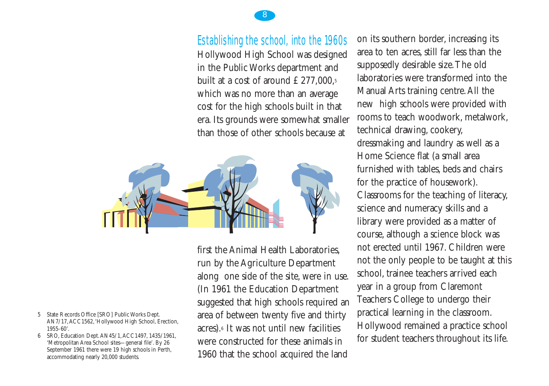### Establishing the school, into the 1960s

8

Hollywood High School was designed in the Public Works department and built at a cost of around  $£277,000,5$ which was no more than an average cost for the high schools built in that era. Its grounds were somewhat smaller than those of other schools because at



first the Animal Health Laboratories, run by the Agriculture Department along one side of the site, were in use. (In 1961 the Education Department suggested that high schools required an area of between twenty five and thirty acres).6 It was not until new facilities were constructed for these animals in 1960 that the school acquired the land

on its southern border, increasing its area to ten acres, still far less than the supposedly desirable size.The old laboratories were transformed into the Manual Arts training centre.All the new high schools were provided with rooms to teach woodwork, metalwork, technical drawing, cookery, dressmaking and laundry as well as a Home Science flat (a small area furnished with tables, beds and chairs for the practice of housework). Classrooms for the teaching of literacy, science and numeracy skills and a library were provided as a matter of course, although a science block was not erected until 1967. Children were not the only people to be taught at this school, trainee teachers arrived each year in a group from Claremont Teachers College to undergo their practical learning in the classroom. Hollywood remained a practice school for student teachers throughout its life.

- 5 State Records Office [SRO] Public Works Dept. AN7/17,ACC1562,'Hollywood High School, Erection, 1955-60'.
- 6 SRO, Education Dept.AN45/1,ACC1497, 1435/1961, 'Metropolitan Area School sites—general file'. By 26 September 1961 there were 19 high schools in Perth, accommodating nearly 20,000 students.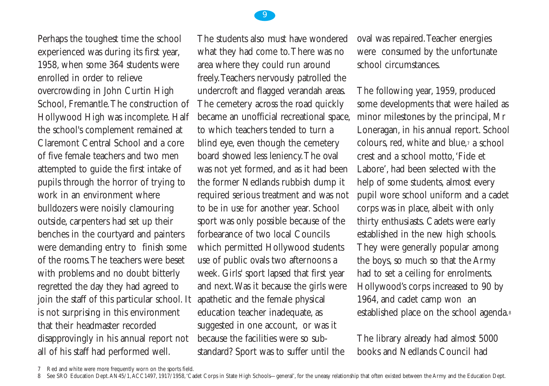

Perhaps the toughest time the school experienced was during its first year, 1958, when some 364 students were enrolled in order to relieve overcrowding in John Curtin High School, Fremantle.The construction of Hollywood High was incomplete. Half the school's complement remained at Claremont Central School and a core of five female teachers and two men attempted to guide the first intake of pupils through the horror of trying to work in an environment where bulldozers were noisily clamouring outside, carpenters had set up their benches in the courtyard and painters were demanding entry to finish some of the rooms.The teachers were beset with problems and no doubt bitterly regretted the day they had agreed to join the staff of this particular school. It is not surprising in this environment that their headmaster recorded disapprovingly in his annual report not all of his staff had performed well.

The students also must have wondered what they had come to.There was no area where they could run around freely.Teachers nervously patrolled the undercroft and flagged verandah areas. The cemetery across the road quickly became an unofficial recreational space, to which teachers tended to turn a blind eye, even though the cemetery board showed less leniency.The oval was not yet formed, and as it had been the former Nedlands rubbish dump it required serious treatment and was not to be in use for another year. School sport was only possible because of the forbearance of two local Councils which permitted Hollywood students use of public ovals two afternoons a week. Girls' sport lapsed that first year and next.Was it because the girls were apathetic and the female physical education teacher inadequate, as suggested in one account, or was it because the facilities were so substandard? Sport was to suffer until the

oval was repaired.Teacher energies were consumed by the unfortunate school circumstances.

The following year, 1959, produced some developments that were hailed as minor milestones by the principal, Mr Loneragan, in his annual report. School colours, red, white and blue,7 a school crest and a school motto,'Fide et Labore', had been selected with the help of some students, almost every pupil wore school uniform and a cadet corps was in place, albeit with only thirty enthusiasts. Cadets were early established in the new high schools. They were generally popular among the boys, so much so that the Army had to set a ceiling for enrolments. Hollywood's corps increased to 90 by 1964, and cadet camp won an established place on the school agenda.8

The library already had almost 5000 books and Nedlands Council had

<sup>7</sup> Red and white were more frequently worn on the sports field.

<sup>8</sup> See SRO Education Dept. AN45/1, ACC1497, 1917/1958, 'Cadet Corps in State High Schools—general', for the uneasy relationship that often existed between the Army and the Education Dept.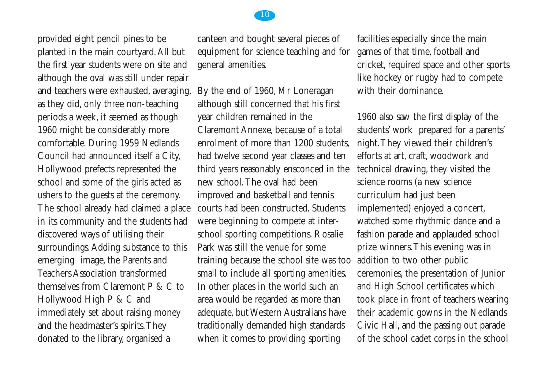provided eight pencil pines to be planted in the main courtyard.All but the first year students were on site and although the oval was still under repair and teachers were exhausted, averaging, as they did, only three non-teaching periods a week, it seemed as though 1960 might be considerably more comfortable. During 1959 Nedlands Council had announced itself a City, Hollywood prefects represented the school and some of the girls acted as ushers to the guests at the ceremony. The school already had claimed a place in its community and the students had discovered ways of utilising their surroundings. Adding substance to this emerging image, the Parents and Teachers Association transformed themselves from Claremont P & C to Hollywood High P & C and immediately set about raising money and the headmaster's spirits.They donated to the library, organised a

canteen and bought several pieces of equipment for science teaching and for general amenities.

By the end of 1960, Mr Loneragan although still concerned that his first year children remained in the Claremont Annexe, because of a total enrolment of more than 1200 students, had twelve second year classes and ten third years reasonably ensconced in the new school.The oval had been improved and basketball and tennis courts had been constructed. Students were beginning to compete at interschool sporting competitions. Rosalie Park was still the venue for some training because the school site was too small to include all sporting amenities. In other places in the world such an area would be regarded as more than adequate, but Western Australians have traditionally demanded high standards when it comes to providing sporting

facilities especially since the main games of that time, football and cricket, required space and other sports like hockey or rugby had to compete with their dominance.

1960 also saw the first display of the students' work prepared for a parents' night.They viewed their children's efforts at art, craft, woodwork and technical drawing, they visited the science rooms (a new science curriculum had just been implemented) enjoyed a concert, watched some rhythmic dance and a fashion parade and applauded school prize winners.This evening was in addition to two other public ceremonies, the presentation of Junior and High School certificates which took place in front of teachers wearing their academic gowns in the Nedlands Civic Hall, and the passing out parade of the school cadet corps in the school

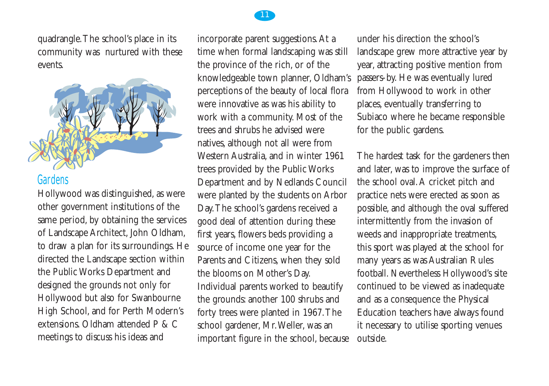quadrangle.The school's place in its community was nurtured with these events.



#### Gardens

Hollywood was distinguished, as were other government institutions of the same period, by obtaining the services of Landscape Architect, John Oldham, to draw a plan for its surroundings. He directed the Landscape section within the Public Works Department and designed the grounds not only for Hollywood but also for Swanbourne High School, and for Perth Modern's extensions. Oldham attended P & C meetings to discuss his ideas and

incorporate parent suggestions.At a time when formal landscaping was still the province of the rich, or of the knowledgeable town planner, Oldham's perceptions of the beauty of local flora were innovative as was his ability to work with a community. Most of the trees and shrubs he advised were natives, although not all were from Western Australia, and in winter 1961 trees provided by the Public Works Department and by Nedlands Council were planted by the students on Arbor Day.The school's gardens received a good deal of attention during these first years, flowers beds providing a source of income one year for the Parents and Citizens, when they sold the blooms on Mother's Day. Individual parents worked to beautify the grounds: another 100 shrubs and forty trees were planted in 1967.The school gardener, Mr.Weller, was an important figure in the school, because

under his direction the school's landscape grew more attractive year by year, attracting positive mention from passers-by. He was eventually lured from Hollywood to work in other places, eventually transferring to Subiaco where he became responsible for the public gardens.

The hardest task for the gardeners then and later, was to improve the surface of the school oval.A cricket pitch and practice nets were erected as soon as possible, and although the oval suffered intermittently from the invasion of weeds and inappropriate treatments, this sport was played at the school for many years as was Australian Rules football. Nevertheless Hollywood's site continued to be viewed as inadequate and as a consequence the Physical Education teachers have always found it necessary to utilise sporting venues outside.

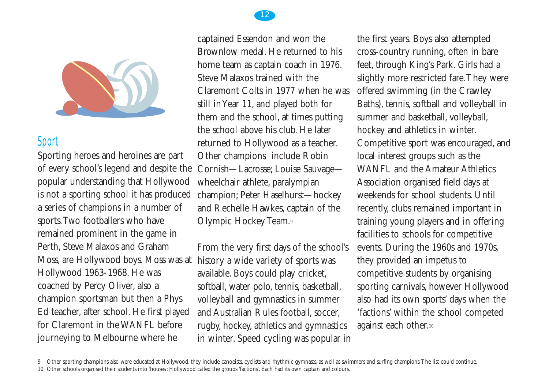

### Sport

Sporting heroes and heroines are part of every school's legend and despite the popular understanding that Hollywood is not a sporting school it has produced a series of champions in a number of sports.Two footballers who have remained prominent in the game in Perth, Steve Malaxos and Graham Moss, are Hollywood boys. Moss was at history a wide variety of sports was Hollywood 1963-1968. He was coached by Percy Oliver, also a champion sportsman but then a Phys Ed teacher, after school. He first played for Claremont in the WANFL before journeying to Melbourne where he

captained Essendon and won the Brownlow medal. He returned to his home team as captain coach in 1976. Steve Malaxos trained with the Claremont Colts in 1977 when he was still in Year 11, and played both for them and the school, at times putting the school above his club. He later returned to Hollywood as a teacher. Other champions include Robin Cornish—Lacrosse; Louise Sauvage wheelchair athlete, paralympian champion; Peter Haselhurst—hockey and Rechelle Hawkes, captain of the Olympic Hockey Team.9

From the very first days of the school's available. Boys could play cricket, softball, water polo, tennis, basketball, volleyball and gymnastics in summer and Australian Rules football, soccer, rugby, hockey, athletics and gymnastics in winter. Speed cycling was popular in the first years. Boys also attempted cross-country running, often in bare feet, through King's Park. Girls had a slightly more restricted fare.They were offered swimming (in the Crawley Baths), tennis, softball and volleyball in summer and basketball, volleyball, hockey and athletics in winter. Competitive sport was encouraged, and local interest groups such as the WANFL and the Amateur Athletics Association organised field days at weekends for school students. Until recently, clubs remained important in training young players and in offering facilities to schools for competitive events. During the 1960s and 1970s, they provided an impetus to competitive students by organising sporting carnivals, however Hollywood also had its own sports' days when the 'factions' within the school competed against each other.10



<sup>9</sup> Other sporting champions also were educated at Hollywood, they include canoeists, cyclists and rhythmic gymnasts, as well as swimmers and surfing champions.The list could continue.

<sup>10</sup> Other schools organised their students into 'houses'; Hollywood called the groups 'factions'. Each had its own captain and colours.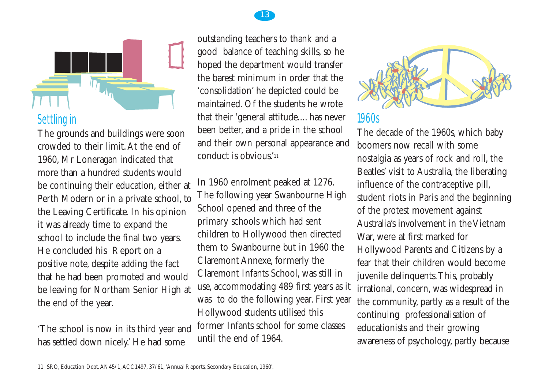



## Settling in

The grounds and buildings were soon crowded to their limit.At the end of 1960, Mr Loneragan indicated that more than a hundred students would be continuing their education, either at Perth Modern or in a private school, to the Leaving Certificate. In his opinion it was already time to expand the school to include the final two years. He concluded his Report on a positive note, despite adding the fact that he had been promoted and would be leaving for Northam Senior High at the end of the year.

'The school is now in its third year and has settled down nicely.' He had some

outstanding teachers to thank and a good balance of teaching skills, so he hoped the department would transfer the barest minimum in order that the 'consolidation' he depicted could be maintained. Of the students he wrote that their 'general attitude.... has never been better, and a pride in the school and their own personal appearance and conduct is obvious.'11

In 1960 enrolment peaked at 1276. The following year Swanbourne High School opened and three of the primary schools which had sent children to Hollywood then directed them to Swanbourne but in 1960 the Claremont Annexe, formerly the Claremont Infants School, was still in use, accommodating 489 first years as it was to do the following year. First year Hollywood students utilised this former Infants school for some classes until the end of 1964.



#### 1960s

The decade of the 1960s, which baby boomers now recall with some nostalgia as years of rock and roll, the Beatles' visit to Australia, the liberating influence of the contraceptive pill, student riots in Paris and the beginning of the protest movement against Australia's involvement in the Vietnam War, were at first marked for Hollywood Parents and Citizens by a fear that their children would become juvenile delinquents.This, probably irrational, concern, was widespread in the community, partly as a result of the continuing professionalisation of educationists and their growing awareness of psychology, partly because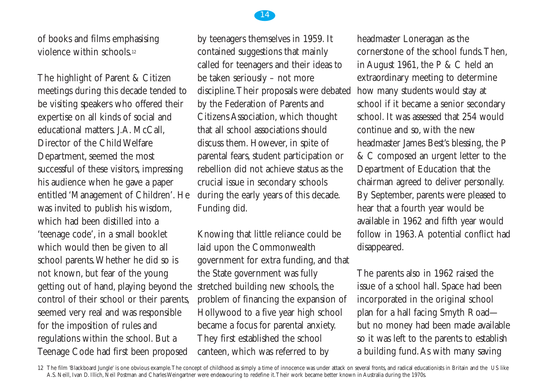

of books and films emphasising violence within schools<sup>12</sup>

The highlight of Parent & Citizen meetings during this decade tended to be visiting speakers who offered their expertise on all kinds of social and educational matters. J.A. McCall. Director of the Child Welfare Department, seemed the most successful of these visitors, impressing his audience when he gave a paper entitled 'Management of Children'. He was invited to publish his wisdom, which had been distilled into a 'teenage code', in a small booklet which would then be given to all school parents.Whether he did so is not known, but fear of the young getting out of hand, playing beyond the control of their school or their parents, seemed very real and was responsible for the imposition of rules and regulations within the school. But a Teenage Code had first been proposed

by teenagers themselves in 1959. It contained suggestions that mainly called for teenagers and their ideas to be taken seriously – not more discipline.Their proposals were debated by the Federation of Parents and Citizens Association, which thought that all school associations should discuss them. However, in spite of parental fears, student participation or rebellion did not achieve status as the crucial issue in secondary schools during the early years of this decade. Funding did.

Knowing that little reliance could be laid upon the Commonwealth government for extra funding, and that the State government was fully stretched building new schools, the problem of financing the expansion of Hollywood to a five year high school became a focus for parental anxiety. They first established the school canteen, which was referred to by

headmaster Loneragan as the cornerstone of the school funds.Then, in August 1961, the P & C held an extraordinary meeting to determine how many students would stay at school if it became a senior secondary school. It was assessed that 254 would continue and so, with the new headmaster James Best's blessing, the P & C composed an urgent letter to the Department of Education that the chairman agreed to deliver personally. By September, parents were pleased to hear that a fourth year would be available in 1962 and fifth year would follow in 1963.A potential conflict had disappeared.

The parents also in 1962 raised the issue of a school hall. Space had been incorporated in the original school plan for a hall facing Smyth Road but no money had been made available so it was left to the parents to establish a building fund.As with many saving

12 The film 'Blackboard Jungle' is one obvious example.The concept of childhood as simply a time of innocence was under attack on several fronts, and radical educationists in Britain and the US like A.S. Neill, Ivan D. Illich, Neil Postman and Charles Weingartner were endeavouring to redefine it.Their work became better known in Australia during the 1970s.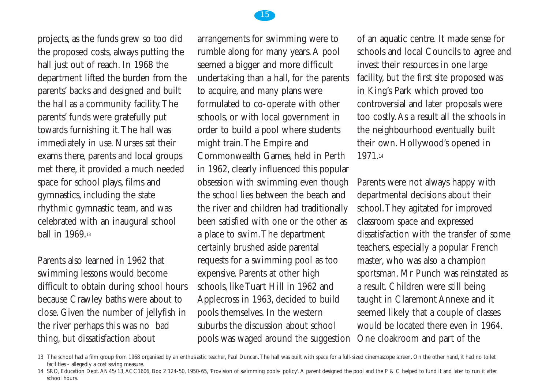projects, as the funds grew so too did the proposed costs, always putting the hall just out of reach. In 1968 the department lifted the burden from the parents' backs and designed and built the hall as a community facility.The parents' funds were gratefully put towards furnishing it.The hall was immediately in use. Nurses sat their exams there, parents and local groups met there, it provided a much needed space for school plays, films and gymnastics, including the state rhythmic gymnastic team, and was celebrated with an inaugural school ball in 1969.13

Parents also learned in 1962 that swimming lessons would become difficult to obtain during school hours because Crawley baths were about to close. Given the number of jellyfish in the river perhaps this was no bad thing, but dissatisfaction about

arrangements for swimming were to rumble along for many years.A pool seemed a bigger and more difficult undertaking than a hall, for the parents to acquire, and many plans were formulated to co-operate with other schools, or with local government in order to build a pool where students might train.The Empire and Commonwealth Games, held in Perth in 1962, clearly influenced this popular obsession with swimming even though the school lies between the beach and the river and children had traditionally been satisfied with one or the other as a place to swim.The department certainly brushed aside parental requests for a swimming pool as too expensive. Parents at other high schools, like Tuart Hill in 1962 and Applecross in 1963, decided to build pools themselves. In the western suburbs the discussion about school pools was waged around the suggestion

of an aquatic centre. It made sense for schools and local Councils to agree and invest their resources in one large facility, but the first site proposed was in King's Park which proved too controversial and later proposals were too costly.As a result all the schools in the neighbourhood eventually built their own. Hollywood's opened in 1971.14

Parents were not always happy with departmental decisions about their school.They agitated for improved classroom space and expressed dissatisfaction with the transfer of some teachers, especially a popular French master, who was also a champion sportsman. Mr Punch was reinstated as a result. Children were still being taught in Claremont Annexe and it seemed likely that a couple of classes would be located there even in 1964. One cloakroom and part of the



<sup>13</sup> The school had a film group from 1968 organised by an enthusiastic teacher, Paul Duncan. The hall was built with space for a full-sized cinemascope screen. On the other hand, it had no toilet facilities - allegedly a cost saving measure.

<sup>14</sup> SRO, Education Dept.AN45/13,ACC1606, Box 2 124-50, 1950-65, 'Provision of swimming pools- policy'.A parent designed the pool and the P & C helped to fund it and later to run it after school hours.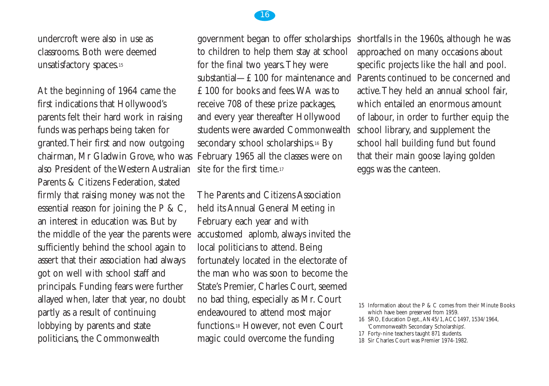

At the beginning of 1964 came the first indications that Hollywood's parents felt their hard work in raising funds was perhaps being taken for granted.Their first and now outgoing chairman, Mr Gladwin Grove, who was also President of the Western Australian Parents & Citizens Federation, stated firmly that raising money was not the essential reason for joining the P & C, an interest in education was. But by the middle of the year the parents were sufficiently behind the school again to assert that their association had always got on well with school staff and principals. Funding fears were further allayed when, later that year, no doubt partly as a result of continuing lobbying by parents and state politicians, the Commonwealth

government began to offer scholarships to children to help them stay at school for the final two years.They were substantial—£100 for maintenance and £100 for books and fees.WA was to receive 708 of these prize packages, and every year thereafter Hollywood students were awarded Commonwealth secondary school scholarships.<sup>16</sup> By February 1965 all the classes were on site for the first time.<sup>17</sup>

The Parents and Citizens Association held its Annual General Meeting in February each year and with accustomed aplomb, always invited the local politicians to attend. Being fortunately located in the electorate of the man who was soon to become the State's Premier, Charles Court, seemed no bad thing, especially as Mr. Court endeavoured to attend most major functions.18 However, not even Court magic could overcome the funding

shortfalls in the 1960s, although he was approached on many occasions about specific projects like the hall and pool. Parents continued to be concerned and active.They held an annual school fair, which entailed an enormous amount of labour, in order to further equip the school library, and supplement the school hall building fund but found that their main goose laying golden eggs was the canteen.

18 Sir Charles Court was Premier 1974-1982.



<sup>15</sup> Information about the P & C comes from their Minute Books which have been preserved from 1959.

<sup>16</sup> SRO, Education Dept.,AN45/1,ACC1497, 1534/1964, 'Commonwealth Secondary Scholarships'.

<sup>17</sup> Forty-nine teachers taught 871 students.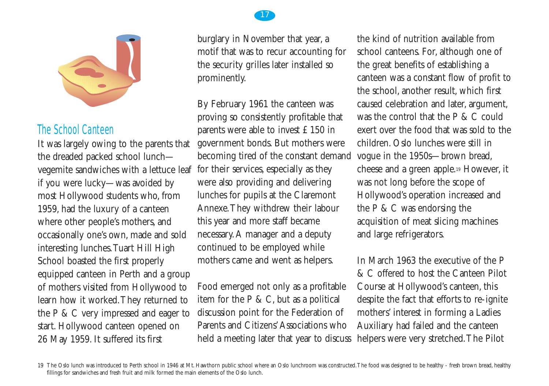

## The School Canteen

It was largely owing to the parents that the dreaded packed school lunch vegemite sandwiches with a lettuce leaf if you were lucky—was avoided by most Hollywood students who, from 1959, had the luxury of a canteen where other people's mothers, and occasionally one's own, made and sold interesting lunches.Tuart Hill High School boasted the first properly equipped canteen in Perth and a group of mothers visited from Hollywood to learn how it worked.They returned to the P & C very impressed and eager to start. Hollywood canteen opened on 26 May 1959. It suffered its first

burglary in November that year, a motif that was to recur accounting for the security grilles later installed so prominently.

By February 1961 the canteen was proving so consistently profitable that parents were able to invest £150 in government bonds. But mothers were becoming tired of the constant demand for their services, especially as they were also providing and delivering lunches for pupils at the Claremont Annexe.They withdrew their labour this year and more staff became necessary.A manager and a deputy continued to be employed while mothers came and went as helpers.

Food emerged not only as a profitable item for the  $P \& C$ , but as a political discussion point for the Federation of Parents and Citizens'Associations who held a meeting later that year to discuss

the kind of nutrition available from school canteens. For, although one of the great benefits of establishing a canteen was a constant flow of profit to the school, another result, which first caused celebration and later, argument, was the control that the P & C could exert over the food that was sold to the children. Oslo lunches were still in vogue in the 1950s—brown bread, cheese and a green apple.19 However, it was not long before the scope of Hollywood's operation increased and the P & C was endorsing the acquisition of meat slicing machines and large refrigerators.

In March 1963 the executive of the P & C offered to host the Canteen Pilot Course at Hollywood's canteen, this despite the fact that efforts to re-ignite mothers' interest in forming a Ladies Auxiliary had failed and the canteen helpers were very stretched.The Pilot

19 The Oslo lunch was introduced to Perth school in 1946 at Mt. Hawthorn public school where an Oslo lunchroom was constructed. The food was designed to be healthy - fresh brown bread, healthy fillings for sandwiches and fresh fruit and milk formed the main elements of the Oslo lunch.

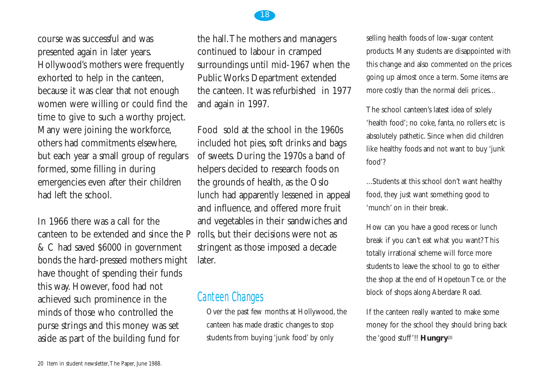

course was successful and was presented again in later years. Hollywood's mothers were frequently exhorted to help in the canteen, because it was clear that not enough women were willing or could find the time to give to such a worthy project. Many were joining the workforce, others had commitments elsewhere, but each year a small group of regulars formed, some filling in during emergencies even after their children had left the school.

In 1966 there was a call for the canteen to be extended and since the P & C had saved \$6000 in government bonds the hard-pressed mothers might have thought of spending their funds this way. However, food had not achieved such prominence in the minds of those who controlled the purse strings and this money was set aside as part of the building fund for

the hall.The mothers and managers continued to labour in cramped surroundings until mid-1967 when the Public Works Department extended the canteen. It was refurbished in 1977 and again in 1997.

Food sold at the school in the 1960s included hot pies, soft drinks and bags of sweets. During the 1970s a band of helpers decided to research foods on the grounds of health, as the Oslo lunch had apparently lessened in appeal and influence, and offered more fruit and vegetables in their sandwiches and rolls, but their decisions were not as stringent as those imposed a decade later.

#### Canteen Changes

Over the past few months at Hollywood, the canteen has made drastic changes to stop students from buying 'junk food' by only

selling health foods of low-sugar content products. Many students are disappointed with this change and also commented on the prices going up almost once a term. Some items are more costly than the normal deli prices...

The school canteen's latest idea of solely 'health food'; no coke, fanta, no rollers etc is absolutely pathetic. Since when did children like healthy foods and not want to buy 'junk food'?

...Students at this school don't want healthy food, they just want something good to 'munch' on in their break.

How can you have a good recess or lunch break if you can't eat what you want? This totally irrational scheme will force more students to leave the school to go to either the shop at the end of Hopetoun Tce. or the block of shops along Aberdare Road.

If the canteen really wanted to make some money for the school they should bring back the 'good stuff'!! **Hungry**<sup>20</sup>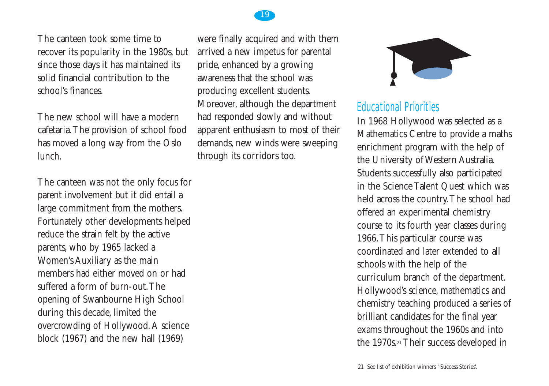

The canteen took some time to recover its popularity in the 1980s, but since those days it has maintained its solid financial contribution to the school's finances.

The new school will have a modern cafetaria.The provision of school food has moved a long way from the Oslo lunch.

The canteen was not the only focus for parent involvement but it did entail a large commitment from the mothers. Fortunately other developments helped reduce the strain felt by the active parents, who by 1965 lacked a Women's Auxiliary as the main members had either moved on or had suffered a form of burn-out. The opening of Swanbourne High School during this decade, limited the overcrowding of Hollywood.A science block (1967) and the new hall (1969)

were finally acquired and with them arrived a new impetus for parental pride, enhanced by a growing awareness that the school was producing excellent students. Moreover, although the department had responded slowly and without apparent enthusiasm to most of their demands, new winds were sweeping through its corridors too.



## Educational Priorities

In 1968 Hollywood was selected as a Mathematics Centre to provide a maths enrichment program with the help of the University of Western Australia. Students successfully also participated in the Science Talent Quest which was held across the country.The school had offered an experimental chemistry course to its fourth year classes during 1966.This particular course was coordinated and later extended to all schools with the help of the curriculum branch of the department. Hollywood's science, mathematics and chemistry teaching produced a series of brilliant candidates for the final year exams throughout the 1960s and into the 1970s.21 Their success developed in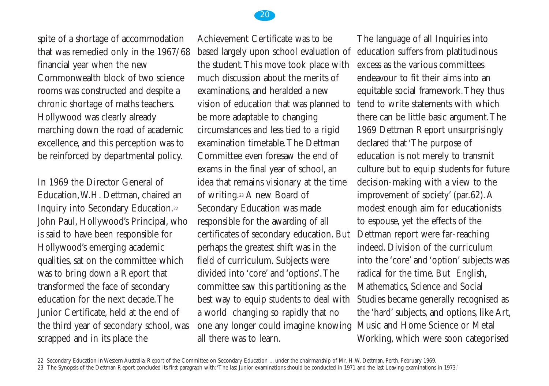spite of a shortage of accommodation that was remedied only in the 1967/68 financial year when the new Commonwealth block of two science rooms was constructed and despite a chronic shortage of maths teachers. Hollywood was clearly already marching down the road of academic excellence, and this perception was to be reinforced by departmental policy.

In 1969 the Director General of Education,W.H. Dettman, chaired an Inquiry into Secondary Education.22 John Paul, Hollywood's Principal, who is said to have been responsible for Hollywood's emerging academic qualities, sat on the committee which was to bring down a Report that transformed the face of secondary education for the next decade.The Junior Certificate, held at the end of the third year of secondary school, was scrapped and in its place the

Achievement Certificate was to be based largely upon school evaluation of the student.This move took place with much discussion about the merits of examinations, and heralded a new vision of education that was planned to be more adaptable to changing circumstances and less tied to a rigid examination timetable.The Dettman Committee even foresaw the end of exams in the final year of school, an idea that remains visionary at the time of writing.23 A new Board of Secondary Education was made responsible for the awarding of all certificates of secondary education. But perhaps the greatest shift was in the field of curriculum. Subjects were divided into 'core' and 'options'.The committee saw this partitioning as the best way to equip students to deal with a world changing so rapidly that no one any longer could imagine knowing all there was to learn.

The language of all Inquiries into education suffers from platitudinous excess as the various committees endeavour to fit their aims into an equitable social framework.They thus tend to write statements with which there can be little basic argument.The 1969 Dettman Report unsurprisingly declared that 'The purpose of education is not merely to transmit culture but to equip students for future decision-making with a view to the improvement of society' (par.62).A modest enough aim for educationists to espouse, yet the effects of the Dettman report were far-reaching indeed. Division of the curriculum into the 'core' and 'option' subjects was radical for the time. But English, Mathematics, Science and Social Studies became generally recognised as the 'hard' subjects, and options, like Art, Music and Home Science or Metal Working, which were soon categorised



20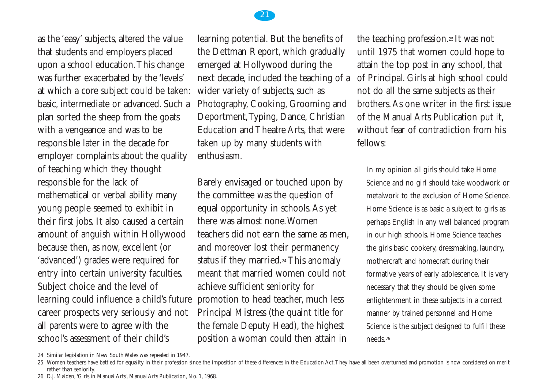

as the 'easy' subjects, altered the value that students and employers placed upon a school education.This change was further exacerbated by the 'levels' at which a core subject could be taken: basic, intermediate or advanced. Such a plan sorted the sheep from the goats with a vengeance and was to be responsible later in the decade for employer complaints about the quality of teaching which they thought responsible for the lack of mathematical or verbal ability many young people seemed to exhibit in their first jobs. It also caused a certain amount of anguish within Hollywood because then, as now, excellent (or 'advanced') grades were required for entry into certain university faculties. Subject choice and the level of learning could influence a child's future career prospects very seriously and not all parents were to agree with the school's assessment of their child's

learning potential. But the benefits of the Dettman Report, which gradually emerged at Hollywood during the next decade, included the teaching of a wider variety of subjects, such as Photography, Cooking, Grooming and Deportment,Typing, Dance, Christian Education and Theatre Arts, that were taken up by many students with enthusiasm.

Barely envisaged or touched upon by the committee was the question of equal opportunity in schools.As yet there was almost none.Women teachers did not earn the same as men, and moreover lost their permanency status if they married.<sup>24</sup> This anomaly meant that married women could not achieve sufficient seniority for promotion to head teacher, much less Principal Mistress (the quaint title for the female Deputy Head), the highest position a woman could then attain in

the teaching profession.25 It was not until 1975 that women could hope to attain the top post in any school, that of Principal. Girls at high school could not do all the same subjects as their brothers.As one writer in the first issue of the Manual Arts Publication put it, without fear of contradiction from his fellows:

In my opinion all girls should take Home Science and no girl should take woodwork or metalwork to the exclusion of Home Science. Home Science is as basic a subject to girls as perhaps English in any well balanced program in our high schools. Home Science teaches the girls basic cookery, dressmaking, laundry, mothercraft and homecraft during their formative years of early adolescence. It is very necessary that they should be given some enlightenment in these subjects in a correct manner by trained personnel and Home Science is the subject designed to fulfil these needs.26

<sup>24</sup> Similar legislation in New South Wales was repealed in 1947.

<sup>25</sup> Women teachers have battled for equality in their profession since the imposition of these differences in the Education Act.They have all been overturned and promotion is now considered on merit rather than seniority.

<sup>26</sup> D.J. Malden, 'Girls in Manual Arts', Manual Arts Publication, No. 1, 1968.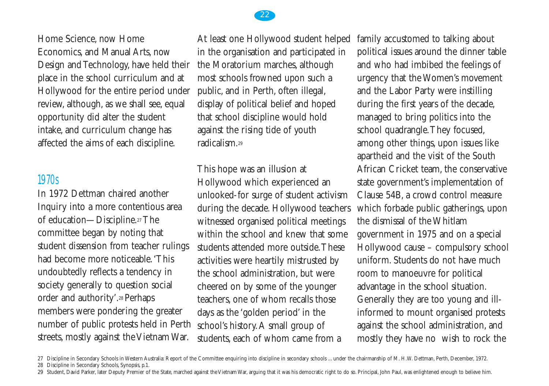

## Home Science, now Home Economics, and Manual Arts, now Design and Technology, have held their place in the school curriculum and at Hollywood for the entire period under

review, although, as we shall see, equal opportunity did alter the student intake, and curriculum change has affected the aims of each discipline.

## 1970s

In 1972 Dettman chaired another Inquiry into a more contentious area of education—Discipline.27 The committee began by noting that student dissension from teacher rulings had become more noticeable.'This undoubtedly reflects a tendency in society generally to question social order and authority'.28 Perhaps members were pondering the greater number of public protests held in Perth streets, mostly against the Vietnam War.

At least one Hollywood student helped in the organisation and participated in the Moratorium marches, although most schools frowned upon such a public, and in Perth, often illegal, display of political belief and hoped that school discipline would hold against the rising tide of youth radicalism<sup>29</sup>

This hope was an illusion at Hollywood which experienced an unlooked-for surge of student activism during the decade. Hollywood teachers witnessed organised political meetings within the school and knew that some students attended more outside.These activities were heartily mistrusted by the school administration, but were cheered on by some of the younger teachers, one of whom recalls those days as the 'golden period' in the school's history.A small group of students, each of whom came from a

family accustomed to talking about political issues around the dinner table and who had imbibed the feelings of urgency that the Women's movement and the Labor Party were instilling during the first years of the decade, managed to bring politics into the school quadrangle.They focused, among other things, upon issues like apartheid and the visit of the South African Cricket team, the conservative state government's implementation of Clause 54B, a crowd control measure which forbade public gatherings, upon the dismissal of the Whitlam government in 1975 and on a special Hollywood cause – compulsory school uniform. Students do not have much room to manoeuvre for political advantage in the school situation. Generally they are too young and illinformed to mount organised protests against the school administration, and mostly they have no wish to rock the

- 27 Discipline in Secondary Schools in Western Australia: Report of the Committee enquiring into discipline in secondary schools ... under the chairmanship of M. H.W. Dettman, Perth, December, 1972. 28 Discipline in Secondary Schools, Synopsis, p.1.
- 29 Student, David Parker, later Deputy Premier of the State, marched against the Vietnam War, arguing that it was his democratic right to do so. Principal, John Paul, was enlightened enough to believe him.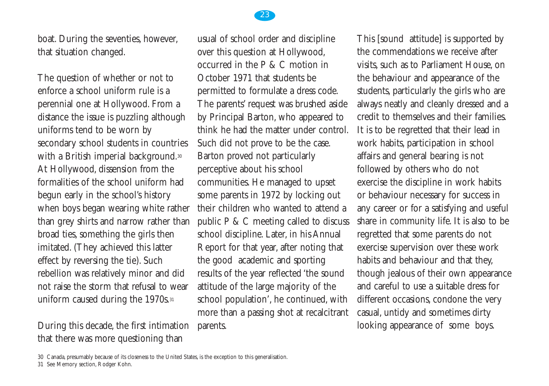boat. During the seventies, however, that situation changed.

The question of whether or not to enforce a school uniform rule is a perennial one at Hollywood. From a distance the issue is puzzling although uniforms tend to be worn by secondary school students in countries with a British imperial background.<sup>30</sup> At Hollywood, dissension from the formalities of the school uniform had begun early in the school's history when boys began wearing white rather than grey shirts and narrow rather than broad ties, something the girls then imitated. (They achieved this latter effect by reversing the tie). Such rebellion was relatively minor and did not raise the storm that refusal to wear uniform caused during the 1970s.<sup>31</sup>

During this decade, the first intimation that there was more questioning than

usual of school order and discipline over this question at Hollywood, occurred in the P & C motion in October 1971 that students be permitted to formulate a dress code. The parents' request was brushed aside by Principal Barton, who appeared to think he had the matter under control. Such did not prove to be the case. Barton proved not particularly perceptive about his school communities. He managed to upset some parents in 1972 by locking out their children who wanted to attend a public P & C meeting called to discuss school discipline. Later, in his Annual Report for that year, after noting that the good academic and sporting results of the year reflected 'the sound attitude of the large majority of the school population', he continued, with more than a passing shot at recalcitrant parents.

This [sound attitude] is supported by the commendations we receive after visits, such as to Parliament House, on the behaviour and appearance of the students, particularly the girls who are always neatly and cleanly dressed and a credit to themselves and their families. It is to be regretted that their lead in work habits, participation in school affairs and general bearing is not followed by others who do not exercise the discipline in work habits or behaviour necessary for success in any career or for a satisfying and useful share in community life. It is also to be regretted that some parents do not exercise supervision over these work habits and behaviour and that they, though jealous of their own appearance and careful to use a suitable dress for different occasions, condone the very casual, untidy and sometimes dirty looking appearance of some boys.



<sup>30</sup> Canada, presumably because of its closeness to the United States, is the exception to this generalisation.

<sup>31</sup> See Memory section, Rodger Kohn.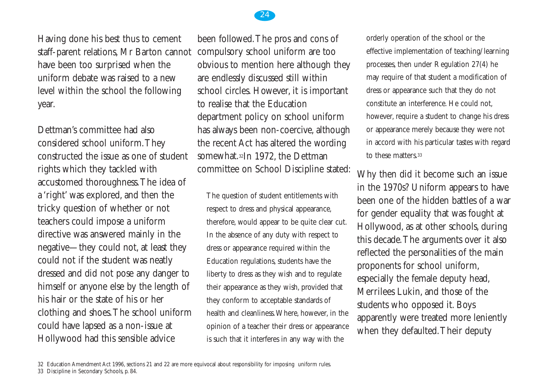

### Having done his best thus to cement staff-parent relations, Mr Barton cannot have been too surprised when the uniform debate was raised to a new level within the school the following year.

Dettman's committee had also considered school uniform.They constructed the issue as one of student rights which they tackled with accustomed thoroughness.The idea of a 'right' was explored, and then the tricky question of whether or not teachers could impose a uniform directive was answered mainly in the negative—they could not, at least they could not if the student was neatly dressed and did not pose any danger to himself or anyone else by the length of his hair or the state of his or her clothing and shoes.The school uniform could have lapsed as a non-issue at Hollywood had this sensible advice

been followed.The pros and cons of compulsory school uniform are too obvious to mention here although they are endlessly discussed still within school circles. However, it is important to realise that the Education department policy on school uniform has always been non-coercive, although the recent Act has altered the wording somewhat.32In 1972, the Dettman committee on School Discipline stated:

The question of student entitlements with respect to dress and physical appearance, therefore, would appear to be quite clear cut. In the absence of any duty with respect to dress or appearance required within the Education regulations, students have the liberty to dress as they wish and to regulate their appearance as they wish, provided that they conform to acceptable standards of health and cleanliness.Where, however, in the opinion of a teacher their dress or appearance is such that it interferes in any way with the

orderly operation of the school or the effective implementation of teaching/learning processes, then under Regulation 27(4) he may require of that student a modification of dress or appearance such that they do not constitute an interference. He could not, however, require a student to change his dress or appearance merely because they were not in accord with his particular tastes with regard to these matters.33

Why then did it become such an issue in the 1970s? Uniform appears to have been one of the hidden battles of a war for gender equality that was fought at Hollywood, as at other schools, during this decade.The arguments over it also reflected the personalities of the main proponents for school uniform, especially the female deputy head, Merrilees Lukin, and those of the students who opposed it. Boys apparently were treated more leniently when they defaulted.Their deputy

<sup>32</sup> Education Amendment Act 1996, sections 21 and 22 are more equivocal about responsibility for imposing uniform rules.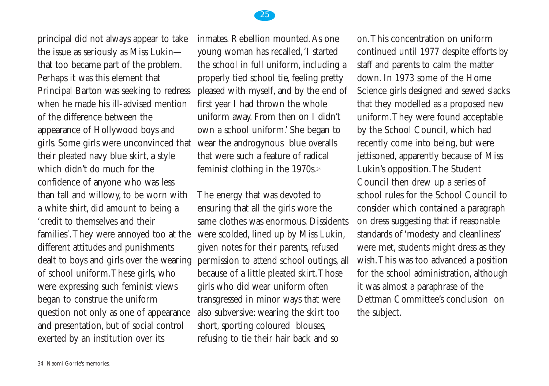

principal did not always appear to take the issue as seriously as Miss Lukin that too became part of the problem. Perhaps it was this element that Principal Barton was seeking to redress when he made his ill-advised mention of the difference between the appearance of Hollywood boys and girls. Some girls were unconvinced that their pleated navy blue skirt, a style which didn't do much for the confidence of anyone who was less than tall and willowy, to be worn with a white shirt, did amount to being a 'credit to themselves and their families'.They were annoyed too at the different attitudes and punishments dealt to boys and girls over the wearing of school uniform.These girls, who were expressing such feminist views began to construe the uniform question not only as one of appearance and presentation, but of social control exerted by an institution over its

inmates. Rebellion mounted.As one young woman has recalled,'I started the school in full uniform, including a properly tied school tie, feeling pretty pleased with myself, and by the end of first year I had thrown the whole uniform away. From then on I didn't own a school uniform.' She began to wear the androgynous blue overalls that were such a feature of radical feminist clothing in the 1970s.34

The energy that was devoted to ensuring that all the girls wore the same clothes was enormous. Dissidents were scolded, lined up by Miss Lukin, given notes for their parents, refused permission to attend school outings, all because of a little pleated skirt.Those girls who did wear uniform often transgressed in minor ways that were also subversive: wearing the skirt too short, sporting coloured blouses, refusing to tie their hair back and so

on.This concentration on uniform continued until 1977 despite efforts by staff and parents to calm the matter down. In 1973 some of the Home Science girls designed and sewed slacks that they modelled as a proposed new uniform.They were found acceptable by the School Council, which had recently come into being, but were jettisoned, apparently because of Miss Lukin's opposition.The Student Council then drew up a series of school rules for the School Council to consider which contained a paragraph on dress suggesting that if reasonable standards of 'modesty and cleanliness' were met, students might dress as they wish.This was too advanced a position for the school administration, although it was almost a paraphrase of the Dettman Committee's conclusion on the subject.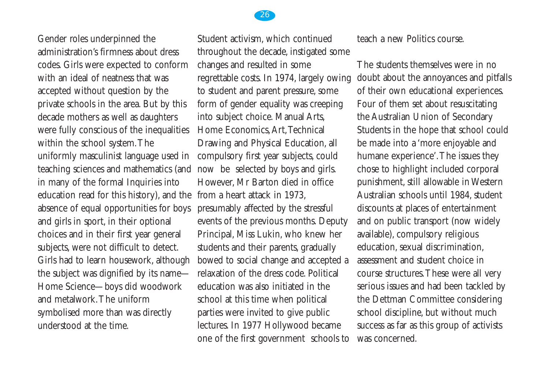

Gender roles underpinned the administration's firmness about dress codes. Girls were expected to conform with an ideal of neatness that was accepted without question by the private schools in the area. But by this decade mothers as well as daughters were fully conscious of the inequalities within the school system.The uniformly masculinist language used in teaching sciences and mathematics (and in many of the formal Inquiries into education read for this history), and the from a heart attack in 1973, absence of equal opportunities for boys and girls in sport, in their optional choices and in their first year general subjects, were not difficult to detect. Girls had to learn housework, although the subject was dignified by its name— Home Science—boys did woodwork and metalwork.The uniform symbolised more than was directly understood at the time.

Student activism, which continued throughout the decade, instigated some changes and resulted in some regrettable costs. In 1974, largely owing to student and parent pressure, some form of gender equality was creeping into subject choice. Manual Arts, Home Economics,Art,Technical Drawing and Physical Education, all compulsory first year subjects, could now be selected by boys and girls. However, Mr Barton died in office presumably affected by the stressful events of the previous months. Deputy Principal, Miss Lukin, who knew her students and their parents, gradually bowed to social change and accepted a relaxation of the dress code. Political education was also initiated in the school at this time when political parties were invited to give public lectures. In 1977 Hollywood became one of the first government schools to

teach a new Politics course.

The students themselves were in no doubt about the annoyances and pitfalls of their own educational experiences. Four of them set about resuscitating the Australian Union of Secondary Students in the hope that school could be made into a 'more enjoyable and humane experience'.The issues they chose to highlight included corporal punishment, still allowable in Western Australian schools until 1984, student discounts at places of entertainment and on public transport (now widely available), compulsory religious education, sexual discrimination, assessment and student choice in course structures.These were all very serious issues and had been tackled by the Dettman Committee considering school discipline, but without much success as far as this group of activists was concerned.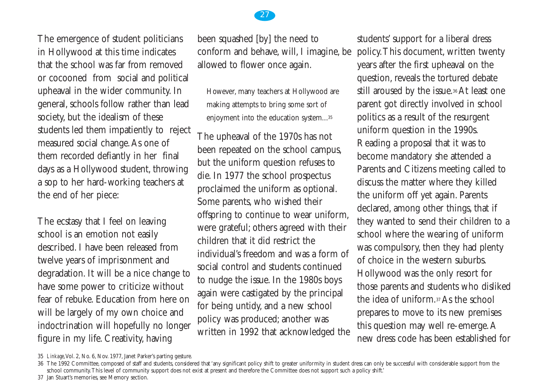

The ecstasy that I feel on leaving school is an emotion not easily described. I have been released from twelve years of imprisonment and degradation. It will be a nice change to have some power to criticize without fear of rebuke. Education from here on will be largely of my own choice and indoctrination will hopefully no longer figure in my life. Creativity, having

been squashed [by] the need to conform and behave, will, I imagine, be allowed to flower once again.

However, many teachers at Hollywood are making attempts to bring some sort of enjoyment into the education system...35

The upheaval of the 1970s has not been repeated on the school campus, but the uniform question refuses to die. In 1977 the school prospectus proclaimed the uniform as optional. Some parents, who wished their offspring to continue to wear uniform, were grateful; others agreed with their children that it did restrict the individual's freedom and was a form of social control and students continued to nudge the issue. In the 1980s boys again were castigated by the principal for being untidy, and a new school policy was produced; another was written in 1992 that acknowledged the students' support for a liberal dress policy.This document, written twenty years after the first upheaval on the question, reveals the tortured debate still aroused by the issue.36 At least one parent got directly involved in school politics as a result of the resurgent uniform question in the 1990s. Reading a proposal that it was to become mandatory she attended a Parents and Citizens meeting called to discuss the matter where they killed the uniform off yet again. Parents declared, among other things, that if they wanted to send their children to a school where the wearing of uniform was compulsory, then they had plenty of choice in the western suburbs. Hollywood was the only resort for those parents and students who disliked the idea of uniform.37 As the school prepares to move to its new premises this question may well re-emerge.A new dress code has been established for



<sup>35</sup> *Linkage*,Vol. 2, No. 6, Nov. 1977, Janet Parker's parting gesture.

<sup>36</sup> The 1992 Committee, composed of staff and students, considered that 'any significant policy shift to greater uniformity in student dress can only be successful with considerable support from the school community.This level of community support does not exist at present and therefore the Committee does not support such a policy shift.'

<sup>37</sup> Jan Stuart's memories, see Memory section.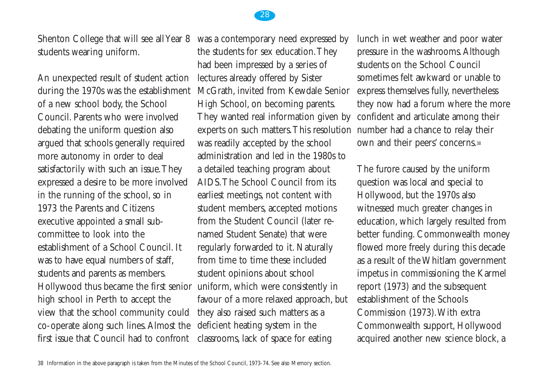

Shenton College that will see all Year 8 students wearing uniform.

An unexpected result of student action during the 1970s was the establishment of a new school body, the School Council. Parents who were involved debating the uniform question also argued that schools generally required more autonomy in order to deal satisfactorily with such an issue.They expressed a desire to be more involved in the running of the school, so in 1973 the Parents and Citizens executive appointed a small subcommittee to look into the establishment of a School Council. It was to have equal numbers of staff, students and parents as members. Hollywood thus became the first senior uniform, which were consistently in high school in Perth to accept the view that the school community could co-operate along such lines.Almost the first issue that Council had to confront classrooms, lack of space for eating

was a contemporary need expressed by the students for sex education.They had been impressed by a series of lectures already offered by Sister McGrath, invited from Kewdale Senior High School, on becoming parents. They wanted real information given by experts on such matters.This resolution number had a chance to relay their was readily accepted by the school administration and led in the 1980s to a detailed teaching program about AIDS.The School Council from its earliest meetings, not content with student members, accepted motions from the Student Council (later renamed Student Senate) that were regularly forwarded to it. Naturally from time to time these included student opinions about school favour of a more relaxed approach, but they also raised such matters as a deficient heating system in the

lunch in wet weather and poor water pressure in the washrooms.Although students on the School Council sometimes felt awkward or unable to express themselves fully, nevertheless they now had a forum where the more confident and articulate among their own and their peers' concerns.38

The furore caused by the uniform question was local and special to Hollywood, but the 1970s also witnessed much greater changes in education, which largely resulted from better funding. Commonwealth money flowed more freely during this decade as a result of the Whitlam government impetus in commissioning the Karmel report (1973) and the subsequent establishment of the Schools Commission (1973).With extra Commonwealth support, Hollywood acquired another new science block, a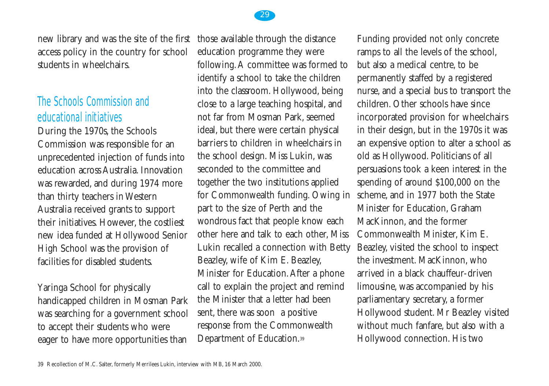

## The Schools Commission and educational initiatives

During the 1970s, the Schools Commission was responsible for an unprecedented injection of funds into education across Australia. Innovation was rewarded, and during 1974 more than thirty teachers in Western Australia received grants to support their initiatives. However, the costliest new idea funded at Hollywood Senior High School was the provision of facilities for disabled students.

Yaringa School for physically handicapped children in Mosman Park was searching for a government school to accept their students who were eager to have more opportunities than

education programme they were following.A committee was formed to identify a school to take the children into the classroom. Hollywood, being close to a large teaching hospital, and not far from Mosman Park, seemed ideal, but there were certain physical barriers to children in wheelchairs in the school design. Miss Lukin, was seconded to the committee and together the two institutions applied for Commonwealth funding. Owing in part to the size of Perth and the wondrous fact that people know each other here and talk to each other, Miss Lukin recalled a connection with Betty Beazley, wife of Kim E. Beazley, Minister for Education.After a phone call to explain the project and remind the Minister that a letter had been sent, there was soon a positive response from the Commonwealth Department of Education.39

Funding provided not only concrete ramps to all the levels of the school, but also a medical centre, to be permanently staffed by a registered nurse, and a special bus to transport the children. Other schools have since incorporated provision for wheelchairs in their design, but in the 1970s it was an expensive option to alter a school as old as Hollywood. Politicians of all persuasions took a keen interest in the spending of around \$100,000 on the scheme, and in 1977 both the State Minister for Education, Graham MacKinnon, and the former Commonwealth Minister, Kim E. Beazley, visited the school to inspect the investment. MacKinnon, who arrived in a black chauffeur-driven limousine, was accompanied by his parliamentary secretary, a former Hollywood student. Mr Beazley visited without much fanfare, but also with a Hollywood connection. His two

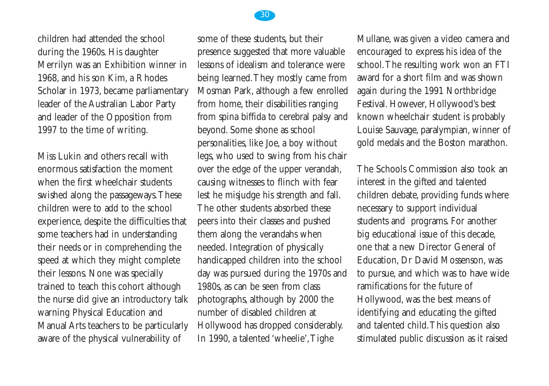

children had attended the school during the 1960s. His daughter Merrilyn was an Exhibition winner in 1968, and his son Kim, a Rhodes Scholar in 1973, became parliamentary leader of the Australian Labor Party and leader of the Opposition from 1997 to the time of writing.

Miss Lukin and others recall with enormous satisfaction the moment when the first wheelchair students swished along the passageways.These children were to add to the school experience, despite the difficulties that some teachers had in understanding their needs or in comprehending the speed at which they might complete their lessons. None was specially trained to teach this cohort although the nurse did give an introductory talk warning Physical Education and Manual Arts teachers to be particularly aware of the physical vulnerability of

some of these students, but their presence suggested that more valuable lessons of idealism and tolerance were being learned.They mostly came from Mosman Park, although a few enrolled from home, their disabilities ranging from spina biffida to cerebral palsy and beyond. Some shone as school personalities, like Joe, a boy without legs, who used to swing from his chair over the edge of the upper verandah, causing witnesses to flinch with fear lest he misjudge his strength and fall. The other students absorbed these peers into their classes and pushed them along the verandahs when needed. Integration of physically handicapped children into the school day was pursued during the 1970s and 1980s, as can be seen from class photographs, although by 2000 the number of disabled children at Hollywood has dropped considerably. In 1990, a talented 'wheelie',Tighe

Mullane, was given a video camera and encouraged to express his idea of the school.The resulting work won an FTI award for a short film and was shown again during the 1991 Northbridge Festival. However, Hollywood's best known wheelchair student is probably Louise Sauvage, paralympian, winner of gold medals and the Boston marathon.

The Schools Commission also took an interest in the gifted and talented children debate, providing funds where necessary to support individual students and programs. For another big educational issue of this decade, one that a new Director General of Education, Dr David Mossenson, was to pursue, and which was to have wide ramifications for the future of Hollywood, was the best means of identifying and educating the gifted and talented child.This question also stimulated public discussion as it raised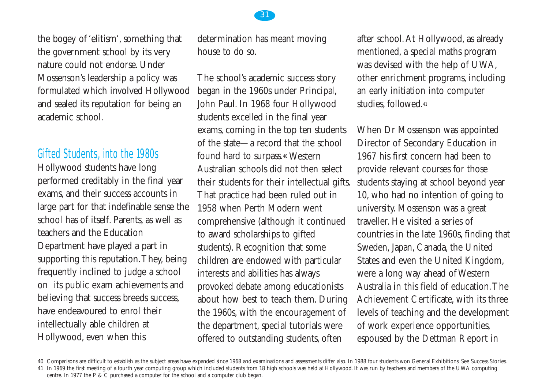the bogey of 'elitism', something that the government school by its very nature could not endorse. Under Mossenson's leadership a policy was formulated which involved Hollywood and sealed its reputation for being an academic school.

#### Gifted Students, into the 1980s

Hollywood students have long performed creditably in the final year exams, and their success accounts in large part for that indefinable sense the school has of itself. Parents, as well as teachers and the Education Department have played a part in supporting this reputation.They, being frequently inclined to judge a school on its public exam achievements and believing that success breeds success, have endeavoured to enrol their intellectually able children at Hollywood, even when this

determination has meant moving house to do so.

The school's academic success story began in the 1960s under Principal, John Paul. In 1968 four Hollywood students excelled in the final year exams, coming in the top ten students of the state—a record that the school found hard to surpass.40 Western Australian schools did not then select their students for their intellectual gifts. That practice had been ruled out in 1958 when Perth Modern went comprehensive (although it continued to award scholarships to gifted students). Recognition that some children are endowed with particular interests and abilities has always provoked debate among educationists about how best to teach them. During the 1960s, with the encouragement of the department, special tutorials were offered to outstanding students, often

after school.At Hollywood, as already mentioned, a special maths program was devised with the help of UWA, other enrichment programs, including an early initiation into computer studies, followed.41

When Dr Mossenson was appointed Director of Secondary Education in 1967 his first concern had been to provide relevant courses for those students staying at school beyond year 10, who had no intention of going to university. Mossenson was a great traveller. He visited a series of countries in the late 1960s, finding that Sweden, Japan, Canada, the United States and even the United Kingdom, were a long way ahead of Western Australia in this field of education.The Achievement Certificate, with its three levels of teaching and the development of work experience opportunities, espoused by the Dettman Report in



<sup>40</sup> Comparisons are difficult to establish as the subject areas have expanded since 1968 and examinations and assessments differ also. In 1988 four students won General Exhibitions. See Success Stories.

<sup>41</sup> In 1969 the first meeting of a fourth year computing group which included students from 18 high schools was held at Hollywood. It was run by teachers and members of the UWA computing centre. In 1977 the P & C purchased a computer for the school and a computer club began.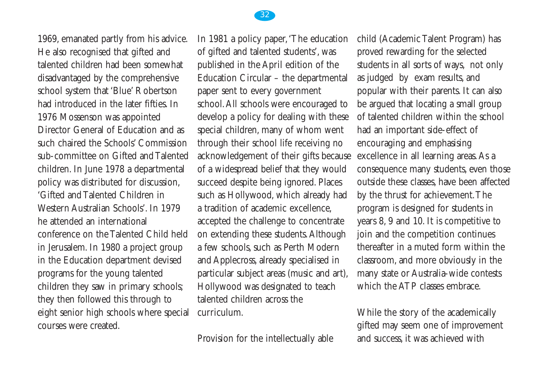

1969, emanated partly from his advice. He also recognised that gifted and talented children had been somewhat disadvantaged by the comprehensive school system that 'Blue' Robertson had introduced in the later fifties. In 1976 Mossenson was appointed Director General of Education and as such chaired the Schools' Commission sub-committee on Gifted and Talented children. In June 1978 a departmental policy was distributed for discussion, 'Gifted and Talented Children in Western Australian Schools'. In 1979 he attended an international conference on the Talented Child held in Jerusalem. In 1980 a project group in the Education department devised programs for the young talented children they saw in primary schools; they then followed this through to eight senior high schools where special courses were created.

In 1981 a policy paper,'The education of gifted and talented students', was published in the April edition of the Education Circular – the departmental paper sent to every government school.All schools were encouraged to develop a policy for dealing with these special children, many of whom went through their school life receiving no acknowledgement of their gifts because of a widespread belief that they would succeed despite being ignored. Places such as Hollywood, which already had a tradition of academic excellence, accepted the challenge to concentrate on extending these students.Although a few schools, such as Perth Modern and Applecross, already specialised in particular subject areas (music and art), Hollywood was designated to teach talented children across the curriculum.

Provision for the intellectually able

child (Academic Talent Program) has proved rewarding for the selected students in all sorts of ways, not only as judged by exam results, and popular with their parents. It can also be argued that locating a small group of talented children within the school had an important side-effect of encouraging and emphasising excellence in all learning areas.As a consequence many students, even those outside these classes, have been affected by the thrust for achievement.The program is designed for students in years 8, 9 and 10. It is competitive to join and the competition continues thereafter in a muted form within the classroom, and more obviously in the many state or Australia-wide contests which the ATP classes embrace.

While the story of the academically gifted may seem one of improvement and success, it was achieved with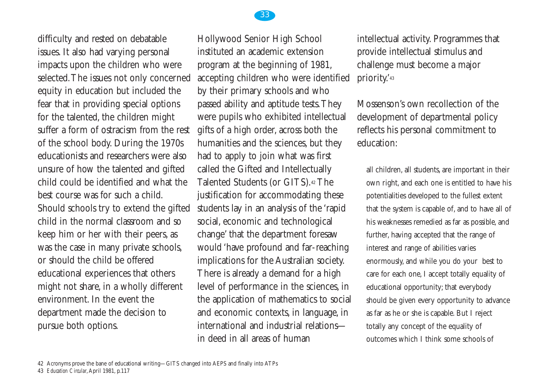difficulty and rested on debatable issues. It also had varying personal impacts upon the children who were selected.The issues not only concerned equity in education but included the fear that in providing special options for the talented, the children might suffer a form of ostracism from the rest of the school body. During the 1970s educationists and researchers were also unsure of how the talented and gifted child could be identified and what the best course was for such a child. Should schools try to extend the gifted child in the normal classroom and so keep him or her with their peers, as was the case in many private schools, or should the child be offered educational experiences that others might not share, in a wholly different environment. In the event the department made the decision to pursue both options.

Hollywood Senior High School instituted an academic extension program at the beginning of 1981, accepting children who were identified by their primary schools and who passed ability and aptitude tests.They were pupils who exhibited intellectual gifts of a high order, across both the humanities and the sciences, but they had to apply to join what was first called the Gifted and Intellectually Talented Students (or GITS).42 The justification for accommodating these students lay in an analysis of the 'rapid social, economic and technological change' that the department foresaw would 'have profound and far-reaching implications for the Australian society. There is already a demand for a high level of performance in the sciences, in the application of mathematics to social and economic contexts, in language, in international and industrial relations in deed in all areas of human

33

intellectual activity. Programmes that provide intellectual stimulus and challenge must become a major priority.'43

Mossenson's own recollection of the development of departmental policy reflects his personal commitment to education:

all children, all students, are important in their own right, and each one is entitled to have his potentialities developed to the fullest extent that the system is capable of, and to have all of his weaknesses remedied as far as possible, and further, having accepted that the range of interest and range of abilities varies enormously, and while you do your best to care for each one, I accept totally equality of educational opportunity; that everybody should be given every opportunity to advance as far as he or she is capable. But I reject totally any concept of the equality of outcomes which I think some schools of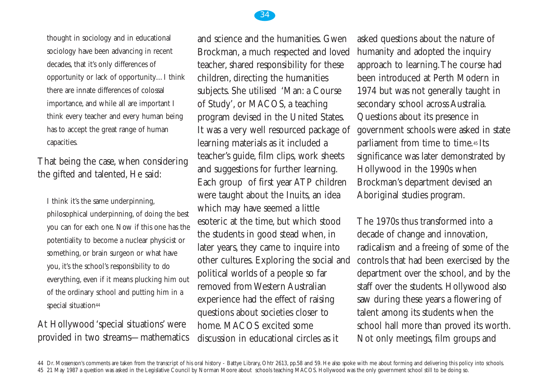

thought in sociology and in educational sociology have been advancing in recent decades, that it's only differences of opportunity or lack of opportunity…I think there are innate differences of colossal importance, and while all are important I think every teacher and every human being has to accept the great range of human capacities.

That being the case, when considering the gifted and talented, He said:

I think it's the same underpinning, philosophical underpinning, of doing the best you can for each one. Now if this one has the potentiality to become a nuclear physicist or something, or brain surgeon or what have you, it's the school's responsibility to do everything, even if it means plucking him out of the ordinary school and putting him in a special situation<sup>44</sup>

#### At Hollywood 'special situations' were provided in two streams—mathematics

and science and the humanities. Gwen Brockman, a much respected and loved teacher, shared responsibility for these children, directing the humanities subjects. She utilised 'Man: a Course of Study', or MACOS, a teaching program devised in the United States. It was a very well resourced package of learning materials as it included a teacher's guide, film clips, work sheets and suggestions for further learning. Each group of first year ATP children were taught about the Inuits, an idea which may have seemed a little esoteric at the time, but which stood the students in good stead when, in later years, they came to inquire into other cultures. Exploring the social and political worlds of a people so far removed from Western Australian experience had the effect of raising questions about societies closer to home. MACOS excited some discussion in educational circles as it

asked questions about the nature of humanity and adopted the inquiry approach to learning.The course had been introduced at Perth Modern in 1974 but was not generally taught in secondary school across Australia. Questions about its presence in government schools were asked in state parliament from time to time.45 Its significance was later demonstrated by Hollywood in the 1990s when Brockman's department devised an Aboriginal studies program.

The 1970s thus transformed into a decade of change and innovation, radicalism and a freeing of some of the controls that had been exercised by the department over the school, and by the staff over the students. Hollywood also saw during these years a flowering of talent among its students when the school hall more than proved its worth. Not only meetings, film groups and

44 Dr. Mossenson's comments are taken from the transcript of his oral history - Battye Library, Ohtr 2613, pp.58 and 59. He also spoke with me about forming and delivering this policy into schools. 45 21 May 1987 a question was asked in the Legislative Council by Norman Moore about schools teaching MACOS. Hollywood was the only government school still to be doing so.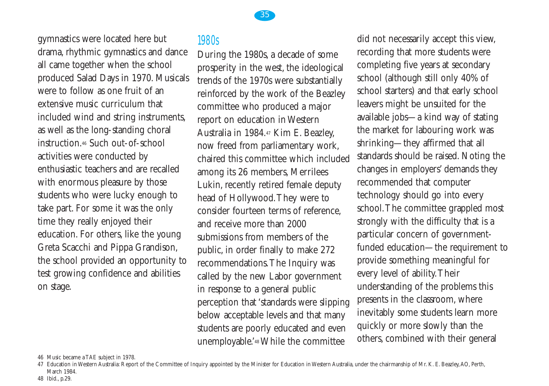gymnastics were located here but drama, rhythmic gymnastics and dance all came together when the school produced Salad Days in 1970. Musicals were to follow as one fruit of an extensive music curriculum that included wind and string instruments, as well as the long-standing choral instruction.46 Such out-of-school activities were conducted by enthusiastic teachers and are recalled with enormous pleasure by those students who were lucky enough to take part. For some it was the only time they really enjoyed their education. For others, like the young Greta Scacchi and Pippa Grandison, the school provided an opportunity to test growing confidence and abilities on stage.

## 1980s

During the 1980s, a decade of some prosperity in the west, the ideological trends of the 1970s were substantially reinforced by the work of the Beazley committee who produced a major report on education in Western Australia in 1984.47 Kim E. Beazley, now freed from parliamentary work, chaired this committee which included among its 26 members, Merrilees Lukin, recently retired female deputy head of Hollywood.They were to consider fourteen terms of reference, and receive more than 2000 submissions from members of the public, in order finally to make 272 recommendations.The Inquiry was called by the new Labor government in response to a general public perception that 'standards were slipping below acceptable levels and that many students are poorly educated and even unemployable.'48 While the committee

35

did not necessarily accept this view, recording that more students were completing five years at secondary school (although still only 40% of school starters) and that early school leavers might be unsuited for the available jobs—a kind way of stating the market for labouring work was shrinking—they affirmed that all standards should be raised. Noting the changes in employers' demands they recommended that computer technology should go into every school.The committee grappled most strongly with the difficulty that is a particular concern of governmentfunded education—the requirement to provide something meaningful for every level of ability.Their understanding of the problems this presents in the classroom, where inevitably some students learn more quickly or more slowly than the others, combined with their general

46 Music became a TAE subject in 1978.

<sup>47</sup> Education in Western Australia: Report of the Committee of Inquiry appointed by the Minister for Education in Western Australia, under the chairmanship of Mr. K. E. Beazley,AO, Perth, March 1984.

<sup>48</sup> Ibid., p.29.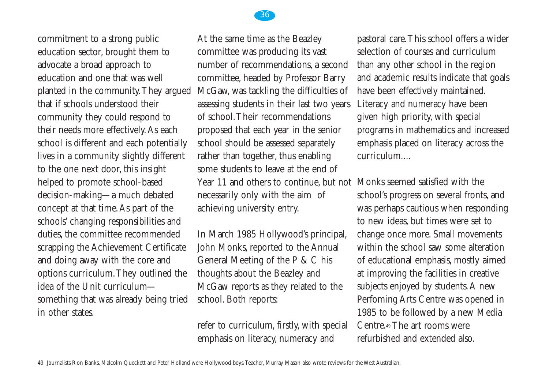commitment to a strong public education sector, brought them to advocate a broad approach to education and one that was well planted in the community.They argued that if schools understood their community they could respond to their needs more effectively.As each school is different and each potentially lives in a community slightly different to the one next door, this insight helped to promote school-based decision-making—a much debated concept at that time.As part of the schools' changing responsibilities and duties, the committee recommended scrapping the Achievement Certificate and doing away with the core and options curriculum.They outlined the idea of the Unit curriculum something that was already being tried in other states

At the same time as the Beazley committee was producing its vast number of recommendations, a second committee, headed by Professor Barry McGaw, was tackling the difficulties of assessing students in their last two years of school.Their recommendations proposed that each year in the senior school should be assessed separately rather than together, thus enabling some students to leave at the end of Year 11 and others to continue, but not Monks seemed satisfied with the necessarily only with the aim of achieving university entry.

In March 1985 Hollywood's principal, John Monks, reported to the Annual General Meeting of the P & C his thoughts about the Beazley and McGaw reports as they related to the school. Both reports:

refer to curriculum, firstly, with special emphasis on literacy, numeracy and

pastoral care.This school offers a wider selection of courses and curriculum than any other school in the region and academic results indicate that goals have been effectively maintained. Literacy and numeracy have been given high priority, with special programs in mathematics and increased emphasis placed on literacy across the curriculum....

school's progress on several fronts, and was perhaps cautious when responding to new ideas, but times were set to change once more. Small movements within the school saw some alteration of educational emphasis, mostly aimed at improving the facilities in creative subjects enjoyed by students.A new Perfoming Arts Centre was opened in 1985 to be followed by a new Media Centre.49 The art rooms were refurbished and extended also.

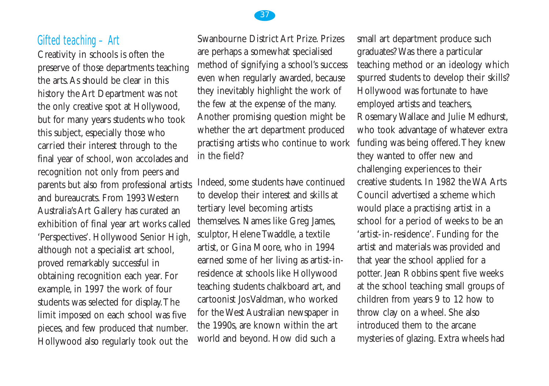#### Gifted teaching – Art

Creativity in schools is often the preserve of those departments teaching the arts.As should be clear in this history the Art Department was not the only creative spot at Hollywood, but for many years students who took this subject, especially those who carried their interest through to the final year of school, won accolades and recognition not only from peers and parents but also from professional artists and bureaucrats. From 1993 Western Australia's Art Gallery has curated an exhibition of final year art works called 'Perspectives'. Hollywood Senior High, although not a specialist art school, proved remarkably successful in obtaining recognition each year. For example, in 1997 the work of four students was selected for display.The limit imposed on each school was five pieces, and few produced that number. Hollywood also regularly took out the

Swanbourne District Art Prize. Prizes are perhaps a somewhat specialised method of signifying a school's success even when regularly awarded, because they inevitably highlight the work of the few at the expense of the many. Another promising question might be whether the art department produced practising artists who continue to work in the field?

Indeed, some students have continued to develop their interest and skills at tertiary level becoming artists themselves. Names like Greg James, sculptor, Helene Twaddle, a textile artist, or Gina Moore, who in 1994 earned some of her living as artist-inresidence at schools like Hollywood teaching students chalkboard art, and cartoonist Jos Valdman, who worked for the West Australian newspaper in the 1990s, are known within the art world and beyond. How did such a

small art department produce such graduates? Was there a particular teaching method or an ideology which spurred students to develop their skills? Hollywood was fortunate to have employed artists and teachers, Rosemary Wallace and Julie Medhurst, who took advantage of whatever extra funding was being offered.They knew they wanted to offer new and challenging experiences to their creative students. In 1982 the WA Arts Council advertised a scheme which would place a practising artist in a school for a period of weeks to be an 'artist-in-residence'. Funding for the artist and materials was provided and that year the school applied for a potter. Jean Robbins spent five weeks at the school teaching small groups of children from years 9 to 12 how to throw clay on a wheel. She also introduced them to the arcane mysteries of glazing. Extra wheels had

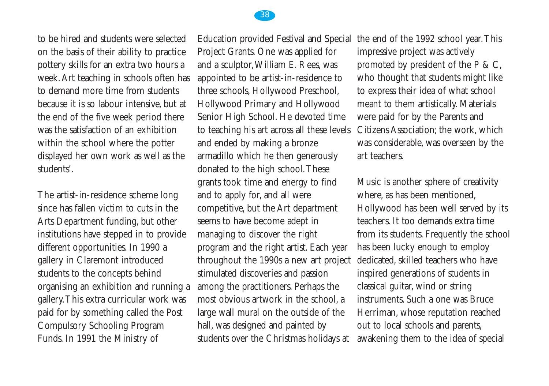

to be hired and students were selected on the basis of their ability to practice pottery skills for an extra two hours a week.Art teaching in schools often has to demand more time from students because it is so labour intensive, but at the end of the five week period there was the satisfaction of an exhibition within the school where the potter displayed her own work as well as the students'.

The artist-in-residence scheme long since has fallen victim to cuts in the Arts Department funding, but other institutions have stepped in to provide different opportunities. In 1990 a gallery in Claremont introduced students to the concepts behind organising an exhibition and running a gallery.This extra curricular work was paid for by something called the Post Compulsory Schooling Program Funds. In 1991 the Ministry of

Project Grants. One was applied for and a sculptor,William E. Rees, was appointed to be artist-in-residence to three schools, Hollywood Preschool, Hollywood Primary and Hollywood Senior High School. He devoted time to teaching his art across all these levels and ended by making a bronze armadillo which he then generously donated to the high school.These grants took time and energy to find and to apply for, and all were competitive, but the Art department seems to have become adept in managing to discover the right program and the right artist. Each year throughout the 1990s a new art project stimulated discoveries and passion among the practitioners. Perhaps the most obvious artwork in the school, a large wall mural on the outside of the hall, was designed and painted by students over the Christmas holidays at

Education provided Festival and Special the end of the 1992 school year.This impressive project was actively promoted by president of the P & C, who thought that students might like to express their idea of what school meant to them artistically. Materials were paid for by the Parents and Citizens Association; the work, which was considerable, was overseen by the art teachers.

> Music is another sphere of creativity where, as has been mentioned, Hollywood has been well served by its teachers. It too demands extra time from its students. Frequently the school has been lucky enough to employ dedicated, skilled teachers who have inspired generations of students in classical guitar, wind or string instruments. Such a one was Bruce Herriman, whose reputation reached out to local schools and parents, awakening them to the idea of special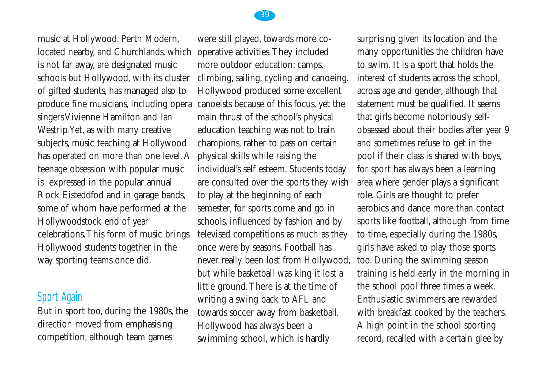

## Sport Again

But in sport too, during the 1980s, the direction moved from emphasising competition, although team games

were still played, towards more cooperative activities.They included more outdoor education: camps, climbing, sailing, cycling and canoeing. Hollywood produced some excellent canoeists because of this focus, yet the main thrust of the school's physical education teaching was not to train champions, rather to pass on certain physical skills while raising the individual's self esteem. Students today are consulted over the sports they wish to play at the beginning of each semester, for sports come and go in schools, influenced by fashion and by televised competitions as much as they once were by seasons. Football has never really been lost from Hollywood, but while basketball was king it lost a little ground.There is at the time of writing a swing back to AFL and towards soccer away from basketball. Hollywood has always been a swimming school, which is hardly

surprising given its location and the many opportunities the children have to swim. It is a sport that holds the interest of students across the school, across age and gender, although that statement must be qualified. It seems that girls become notoriously selfobsessed about their bodies after year 9 and sometimes refuse to get in the pool if their class is shared with boys, for sport has always been a learning area where gender plays a significant role. Girls are thought to prefer aerobics and dance more than contact sports like football, although from time to time, especially during the 1980s, girls have asked to play those sports too. During the swimming season training is held early in the morning in the school pool three times a week. Enthusiastic swimmers are rewarded with breakfast cooked by the teachers. A high point in the school sporting record, recalled with a certain glee by

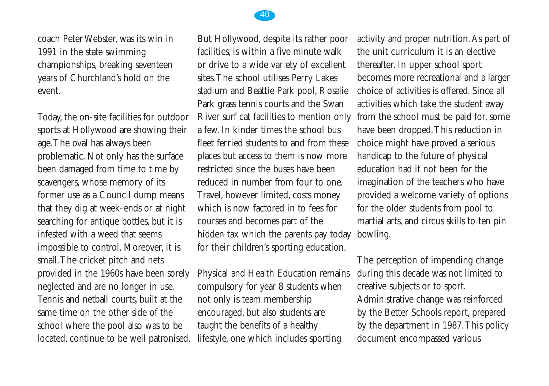

coach Peter Webster, was its win in 1991 in the state swimming championships, breaking seventeen years of Churchland's hold on the event.

Today, the on-site facilities for outdoor sports at Hollywood are showing their age.The oval has always been problematic. Not only has the surface been damaged from time to time by scavengers, whose memory of its former use as a Council dump means that they dig at week-ends or at night searching for antique bottles, but it is infested with a weed that seems impossible to control. Moreover, it is small.The cricket pitch and nets provided in the 1960s have been sorely neglected and are no longer in use. Tennis and netball courts, built at the same time on the other side of the school where the pool also was to be located, continue to be well patronised.

But Hollywood, despite its rather poor facilities, is within a five minute walk or drive to a wide variety of excellent sites.The school utilises Perry Lakes stadium and Beattie Park pool, Rosalie Park grass tennis courts and the Swan River surf cat facilities to mention only a few. In kinder times the school bus fleet ferried students to and from these places but access to them is now more restricted since the buses have been reduced in number from four to one. Travel, however limited, costs money which is now factored in to fees for courses and becomes part of the hidden tax which the parents pay today for their children's sporting education.

Physical and Health Education remains compulsory for year 8 students when not only is team membership encouraged, but also students are taught the benefits of a healthy lifestyle, one which includes sporting

activity and proper nutrition.As part of the unit curriculum it is an elective thereafter. In upper school sport becomes more recreational and a larger choice of activities is offered. Since all activities which take the student away from the school must be paid for, some have been dropped.This reduction in choice might have proved a serious handicap to the future of physical education had it not been for the imagination of the teachers who have provided a welcome variety of options for the older students from pool to martial arts, and circus skills to ten pin bowling.

The perception of impending change during this decade was not limited to creative subjects or to sport. Administrative change was reinforced by the Better Schools report, prepared by the department in 1987.This policy document encompassed various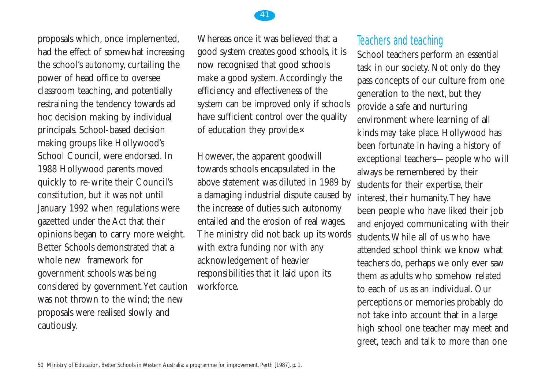



41

However, the apparent goodwill towards schools encapsulated in the above statement was diluted in 1989 by a damaging industrial dispute caused by the increase of duties such autonomy entailed and the erosion of real wages. The ministry did not back up its words with extra funding nor with any acknowledgement of heavier responsibilities that it laid upon its workforce.

## Teachers and teaching

School teachers perform an essential task in our society. Not only do they pass concepts of our culture from one generation to the next, but they provide a safe and nurturing environment where learning of all kinds may take place. Hollywood has been fortunate in having a history of exceptional teachers—people who will always be remembered by their students for their expertise, their interest, their humanity.They have been people who have liked their job and enjoyed communicating with their students.While all of us who have attended school think we know what teachers do, perhaps we only ever saw them as adults who somehow related to each of us as an individual. Our perceptions or memories probably do not take into account that in a large high school one teacher may meet and greet, teach and talk to more than one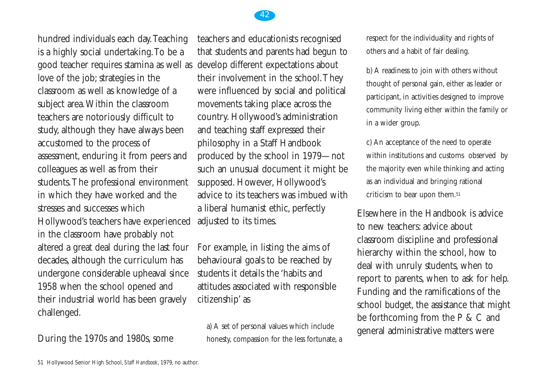hundred individuals each day.Teaching is a highly social undertaking.To be a good teacher requires stamina as well as love of the job; strategies in the classroom as well as knowledge of a subject area.Within the classroom teachers are notoriously difficult to study, although they have always been accustomed to the process of assessment, enduring it from peers and colleagues as well as from their students.The professional environment in which they have worked and the stresses and successes which Hollywood's teachers have experienced in the classroom have probably not altered a great deal during the last four decades, although the curriculum has undergone considerable upheaval since 1958 when the school opened and their industrial world has been gravely challenged.

#### During the 1970s and 1980s, some

teachers and educationists recognised that students and parents had begun to develop different expectations about their involvement in the school.They were influenced by social and political movements taking place across the country. Hollywood's administration and teaching staff expressed their philosophy in a Staff Handbook produced by the school in 1979—not such an unusual document it might be supposed. However, Hollywood's advice to its teachers was imbued with a liberal humanist ethic, perfectly adjusted to its times.

For example, in listing the aims of behavioural goals to be reached by students it details the 'habits and attitudes associated with responsible citizenship' as

a) A set of personal values which include honesty, compassion for the less fortunate, a respect for the individuality and rights of others and a habit of fair dealing.

b) A readiness to join with others without thought of personal gain, either as leader or participant, in activities designed to improve community living either within the family or in a wider group.

c) An acceptance of the need to operate within institutions and customs observed by the majority even while thinking and acting as an individual and bringing rational criticism to bear upon them.51

Elsewhere in the Handbook is advice to new teachers: advice about classroom discipline and professional hierarchy within the school, how to deal with unruly students, when to report to parents, when to ask for help. Funding and the ramifications of the school budget, the assistance that might be forthcoming from the P & C and general administrative matters were

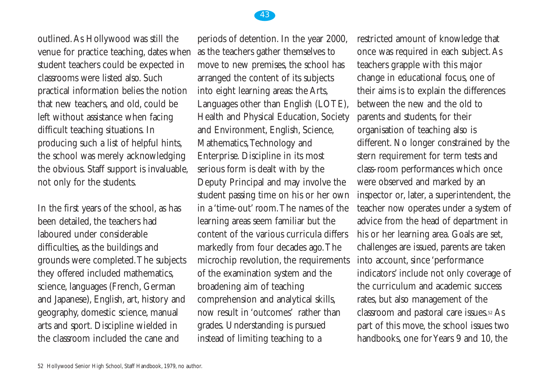

outlined.As Hollywood was still the venue for practice teaching, dates when student teachers could be expected in classrooms were listed also. Such practical information belies the notion that new teachers, and old, could be left without assistance when facing difficult teaching situations. In producing such a list of helpful hints, the school was merely acknowledging the obvious. Staff support is invaluable, not only for the students.

In the first years of the school, as has been detailed, the teachers had laboured under considerable difficulties, as the buildings and grounds were completed.The subjects they offered included mathematics, science, languages (French, German and Japanese), English, art, history and geography, domestic science, manual arts and sport. Discipline wielded in the classroom included the cane and

periods of detention. In the year 2000, as the teachers gather themselves to move to new premises, the school has arranged the content of its subjects into eight learning areas: the Arts, Languages other than English (LOTE), Health and Physical Education, Society and Environment, English, Science, Mathematics,Technology and Enterprise. Discipline in its most serious form is dealt with by the Deputy Principal and may involve the student passing time on his or her own in a 'time-out' room.The names of the learning areas seem familiar but the content of the various curricula differs markedly from four decades ago.The microchip revolution, the requirements of the examination system and the broadening aim of teaching comprehension and analytical skills, now result in 'outcomes' rather than grades. Understanding is pursued instead of limiting teaching to a

restricted amount of knowledge that once was required in each subject.As teachers grapple with this major change in educational focus, one of their aims is to explain the differences between the new and the old to parents and students, for their organisation of teaching also is different. No longer constrained by the stern requirement for term tests and class-room performances which once were observed and marked by an inspector or, later, a superintendent, the teacher now operates under a system of advice from the head of department in his or her learning area. Goals are set, challenges are issued, parents are taken into account, since 'performance indicators' include not only coverage of the curriculum and academic success rates, but also management of the classroom and pastoral care issues.52 As part of this move, the school issues two handbooks, one for Years 9 and 10, the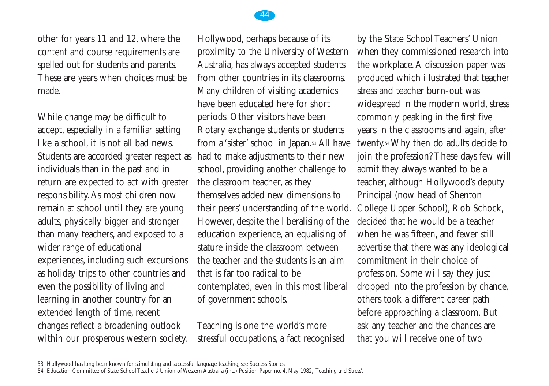

other for years 11 and 12, where the content and course requirements are spelled out for students and parents. These are years when choices must be made.

While change may be difficult to accept, especially in a familiar setting like a school, it is not all bad news. Students are accorded greater respect as individuals than in the past and in return are expected to act with greater responsibility.As most children now remain at school until they are young adults, physically bigger and stronger than many teachers, and exposed to a wider range of educational experiences, including such excursions as holiday trips to other countries and even the possibility of living and learning in another country for an extended length of time, recent changes reflect a broadening outlook within our prosperous western society.

Hollywood, perhaps because of its proximity to the University of Western Australia, has always accepted students from other countries in its classrooms. Many children of visiting academics have been educated here for short periods. Other visitors have been Rotary exchange students or students from a 'sister' school in Japan.53 All have had to make adjustments to their new school, providing another challenge to the classroom teacher, as they themselves added new dimensions to their peers' understanding of the world. However, despite the liberalising of the education experience, an equalising of stature inside the classroom between the teacher and the students is an aim that is far too radical to be contemplated, even in this most liberal of government schools.

Teaching is one the world's more stressful occupations, a fact recognised by the State School Teachers' Union when they commissioned research into the workplace.A discussion paper was produced which illustrated that teacher stress and teacher burn-out was widespread in the modern world, stress commonly peaking in the first five years in the classrooms and again, after twenty.54 Why then do adults decide to join the profession? These days few will admit they always wanted to be a teacher, although Hollywood's deputy Principal (now head of Shenton College Upper School), Rob Schock, decided that he would be a teacher when he was fifteen, and fewer still advertise that there was any ideological commitment in their choice of profession. Some will say they just dropped into the profession by chance, others took a different career path before approaching a classroom. But ask any teacher and the chances are that you will receive one of two

<sup>53</sup> Hollywood has long been known for stimulating and successful language teaching, see Success Stories.

<sup>54</sup> Education Committee of State School Teachers' Union of Western Australia (inc.) Position Paper no. 4, May 1982, 'Teaching and Stress'.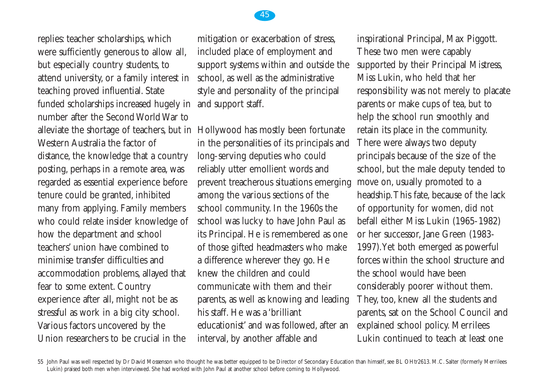replies: teacher scholarships, which were sufficiently generous to allow all, but especially country students, to attend university, or a family interest in teaching proved influential. State funded scholarships increased hugely in number after the Second World War to alleviate the shortage of teachers, but in Hollywood has mostly been fortunate Western Australia the factor of distance, the knowledge that a country posting, perhaps in a remote area, was regarded as essential experience before tenure could be granted, inhibited many from applying. Family members who could relate insider knowledge of how the department and school teachers' union have combined to minimise transfer difficulties and accommodation problems, allayed that fear to some extent. Country experience after all, might not be as stressful as work in a big city school. Various factors uncovered by the Union researchers to be crucial in the

mitigation or exacerbation of stress, included place of employment and support systems within and outside the school, as well as the administrative style and personality of the principal and support staff.

in the personalities of its principals and long-serving deputies who could reliably utter emollient words and prevent treacherous situations emerging among the various sections of the school community. In the 1960s the school was lucky to have John Paul as its Principal. He is remembered as one of those gifted headmasters who make a difference wherever they go. He knew the children and could communicate with them and their parents, as well as knowing and leading his staff. He was a 'brilliant educationist' and was followed, after an interval, by another affable and

inspirational Principal, Max Piggott. These two men were capably supported by their Principal Mistress, Miss Lukin, who held that her responsibility was not merely to placate parents or make cups of tea, but to help the school run smoothly and retain its place in the community. There were always two deputy principals because of the size of the school, but the male deputy tended to move on, usually promoted to a headship.This fate, because of the lack of opportunity for women, did not befall either Miss Lukin (1965-1982) or her successor, Jane Green (1983- 1997).Yet both emerged as powerful forces within the school structure and the school would have been considerably poorer without them. They, too, knew all the students and parents, sat on the School Council and explained school policy. Merrilees Lukin continued to teach at least one

55 John Paul was well respected by Dr David Mossenson who thought he was better equipped to be Director of Secondary Education than himself, see BL OHtr2613. M.C. Salter (formerly Merrilees Lukin) praised both men when interviewed. She had worked with John Paul at another school before coming to Hollywood.

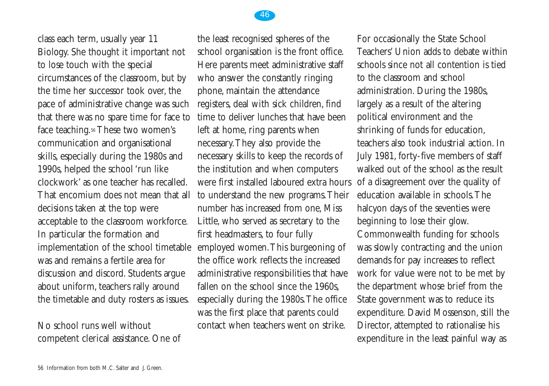

class each term, usually year 11 Biology. She thought it important not to lose touch with the special circumstances of the classroom, but by the time her successor took over, the pace of administrative change was such that there was no spare time for face to face teaching.<sup>56</sup> These two women's communication and organisational skills, especially during the 1980s and 1990s, helped the school 'run like clockwork' as one teacher has recalled. That encomium does not mean that all decisions taken at the top were acceptable to the classroom workforce. In particular the formation and implementation of the school timetable was and remains a fertile area for discussion and discord. Students argue about uniform, teachers rally around the timetable and duty rosters as issues.

#### No school runs well without competent clerical assistance. One of

the least recognised spheres of the school organisation is the front office. Here parents meet administrative staff who answer the constantly ringing phone, maintain the attendance registers, deal with sick children, find time to deliver lunches that have been left at home, ring parents when necessary.They also provide the necessary skills to keep the records of the institution and when computers were first installed laboured extra hours to understand the new programs.Their number has increased from one, Miss Little, who served as secretary to the first headmasters, to four fully employed women.This burgeoning of the office work reflects the increased administrative responsibilities that have fallen on the school since the 1960s. especially during the 1980s.The office was the first place that parents could contact when teachers went on strike.

For occasionally the State School Teachers' Union adds to debate within schools since not all contention is tied to the classroom and school administration. During the 1980s, largely as a result of the altering political environment and the shrinking of funds for education, teachers also took industrial action. In July 1981, forty-five members of staff walked out of the school as the result of a disagreement over the quality of education available in schools.The halcyon days of the seventies were beginning to lose their glow. Commonwealth funding for schools was slowly contracting and the union demands for pay increases to reflect work for value were not to be met by the department whose brief from the State government was to reduce its expenditure. David Mossenson, still the Director, attempted to rationalise his expenditure in the least painful way as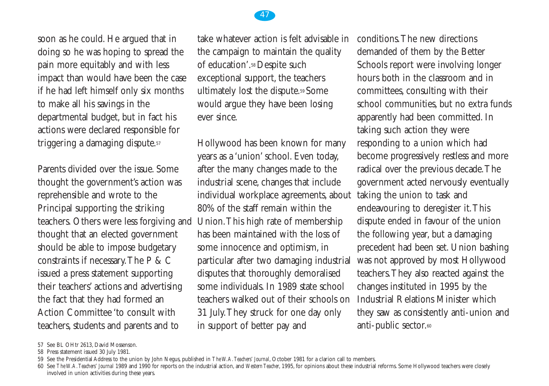

soon as he could. He argued that in doing so he was hoping to spread the pain more equitably and with less impact than would have been the case if he had left himself only six months to make all his savings in the departmental budget, but in fact his actions were declared responsible for triggering a damaging dispute.57

Parents divided over the issue. Some thought the government's action was reprehensible and wrote to the Principal supporting the striking teachers. Others were less forgiving and thought that an elected government should be able to impose budgetary constraints if necessary.The P & C issued a press statement supporting their teachers' actions and advertising the fact that they had formed an Action Committee 'to consult with teachers, students and parents and to

take whatever action is felt advisable in the campaign to maintain the quality of education'.58 Despite such exceptional support, the teachers ultimately lost the dispute.59 Some would argue they have been losing ever since.

Hollywood has been known for many years as a 'union' school. Even today, after the many changes made to the industrial scene, changes that include individual workplace agreements, about 80% of the staff remain within the Union.This high rate of membership has been maintained with the loss of some innocence and optimism, in particular after two damaging industrial disputes that thoroughly demoralised some individuals. In 1989 state school teachers walked out of their schools on 31 July.They struck for one day only in support of better pay and

conditions.The new directions demanded of them by the Better Schools report were involving longer hours both in the classroom and in committees, consulting with their school communities, but no extra funds apparently had been committed. In taking such action they were responding to a union which had become progressively restless and more radical over the previous decade.The government acted nervously eventually taking the union to task and endeavouring to deregister it.This dispute ended in favour of the union the following year, but a damaging precedent had been set. Union bashing was not approved by most Hollywood teachers.They also reacted against the changes instituted in 1995 by the Industrial Relations Minister which they saw as consistently anti-union and anti-public sector.<sup>60</sup>

<sup>57</sup> See BL OHtr 2613, David Mossenson.

<sup>58</sup> Press statement issued 30 July 1981.

<sup>59</sup> See the Presidential Address to the union by John Negus, published in *The W.A.Teachers' Journal*, October 1981 for a clarion call to members.

<sup>60</sup> See *The W.A.Teachers' Journal* 1989 and 1990 for reports on the industrial action, and *Western Teacher*, 1995, for opinions about these industrial reforms. Some Hollywood teachers were closely involved in union activities during these years.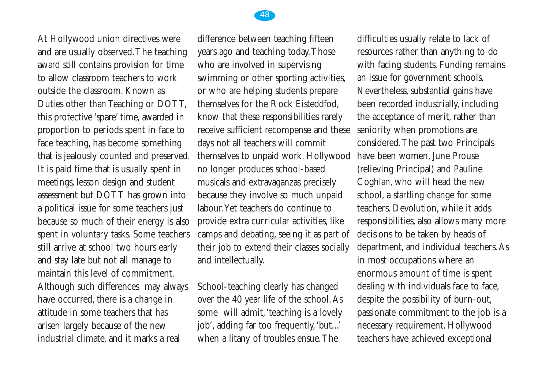

difference between teaching fifteen years ago and teaching today.Those who are involved in supervising swimming or other sporting activities, or who are helping students prepare themselves for the Rock Eisteddfod, know that these responsibilities rarely receive sufficient recompense and these days not all teachers will commit themselves to unpaid work. Hollywood no longer produces school-based musicals and extravaganzas precisely because they involve so much unpaid labour.Yet teachers do continue to provide extra curricular activities, like camps and debating, seeing it as part of their job to extend their classes socially and intellectually.

School-teaching clearly has changed over the 40 year life of the school.As some will admit, 'teaching is a lovely job', adding far too frequently,'but...' when a litany of troubles ensue.The

difficulties usually relate to lack of resources rather than anything to do with facing students. Funding remains an issue for government schools. Nevertheless, substantial gains have been recorded industrially, including the acceptance of merit, rather than seniority when promotions are considered.The past two Principals have been women, June Prouse (relieving Principal) and Pauline Coghlan, who will head the new school, a startling change for some teachers. Devolution, while it adds responsibilities, also allows many more decisions to be taken by heads of department, and individual teachers.As in most occupations where an enormous amount of time is spent dealing with individuals face to face, despite the possibility of burn-out, passionate commitment to the job is a necessary requirement. Hollywood teachers have achieved exceptional

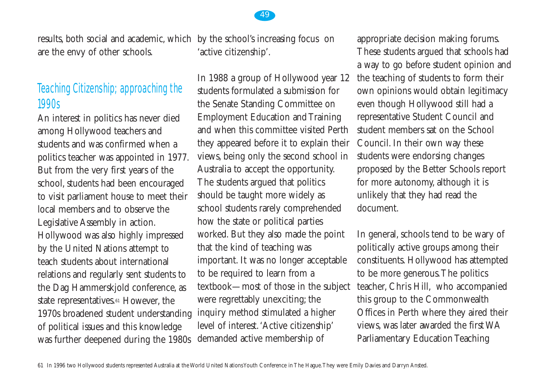are the envy of other schools.

# Teaching Citizenship; approaching the 1990s

An interest in politics has never died among Hollywood teachers and students and was confirmed when a politics teacher was appointed in 1977. But from the very first years of the school, students had been encouraged to visit parliament house to meet their local members and to observe the Legislative Assembly in action. Hollywood was also highly impressed by the United Nations attempt to teach students about international relations and regularly sent students to the Dag Hammerskjold conference, as state representatives.<sup>61</sup> However, the 1970s broadened student understanding of political issues and this knowledge was further deepened during the 1980s

results, both social and academic, which by the school's increasing focus on 'active citizenship'.

> In 1988 a group of Hollywood year 12 students formulated a submission for the Senate Standing Committee on Employment Education and Training and when this committee visited Perth they appeared before it to explain their views, being only the second school in Australia to accept the opportunity. The students argued that politics should be taught more widely as school students rarely comprehended how the state or political parties worked. But they also made the point that the kind of teaching was important. It was no longer acceptable to be required to learn from a textbook—most of those in the subject were regrettably unexciting; the inquiry method stimulated a higher level of interest.'Active citizenship' demanded active membership of

appropriate decision making forums. These students argued that schools had a way to go before student opinion and the teaching of students to form their own opinions would obtain legitimacy even though Hollywood still had a representative Student Council and student members sat on the School Council. In their own way these students were endorsing changes proposed by the Better Schools report for more autonomy, although it is unlikely that they had read the document.

In general, schools tend to be wary of politically active groups among their constituents. Hollywood has attempted to be more generous.The politics teacher, Chris Hill, who accompanied this group to the Commonwealth Offices in Perth where they aired their views, was later awarded the first WA Parliamentary Education Teaching

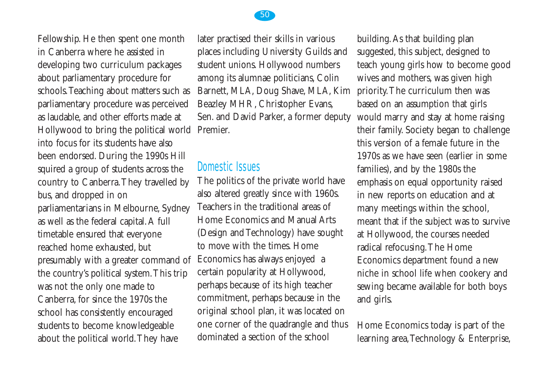Fellowship. He then spent one month in Canberra where he assisted in developing two curriculum packages about parliamentary procedure for schools.Teaching about matters such as parliamentary procedure was perceived as laudable, and other efforts made at Hollywood to bring the political world Premier. into focus for its students have also been endorsed. During the 1990s Hill squired a group of students across the country to Canberra.They travelled by bus, and dropped in on parliamentarians in Melbourne, Sydney as well as the federal capital.A full timetable ensured that everyone reached home exhausted, but presumably with a greater command of the country's political system.This trip was not the only one made to Canberra, for since the 1970s the school has consistently encouraged students to become knowledgeable about the political world.They have

later practised their skills in various places including University Guilds and student unions. Hollywood numbers among its alumnae politicians, Colin Barnett, MLA, Doug Shave, MLA, Kim Beazley MHR, Christopher Evans, Sen. and David Parker, a former deputy

## Domestic Issues

The politics of the private world have also altered greatly since with 1960s. Teachers in the traditional areas of Home Economics and Manual Arts (Design and Technology) have sought to move with the times. Home Economics has always enjoyed a certain popularity at Hollywood, perhaps because of its high teacher commitment, perhaps because in the original school plan, it was located on one corner of the quadrangle and thus dominated a section of the school

building.As that building plan suggested, this subject, designed to teach young girls how to become good wives and mothers, was given high priority.The curriculum then was based on an assumption that girls would marry and stay at home raising their family. Society began to challenge this version of a female future in the 1970s as we have seen (earlier in some families), and by the 1980s the emphasis on equal opportunity raised in new reports on education and at many meetings within the school, meant that if the subject was to survive at Hollywood, the courses needed radical refocusing.The Home Economics department found a new niche in school life when cookery and sewing became available for both boys and girls.

Home Economics today is part of the learning area, Technology & Enterprise,

50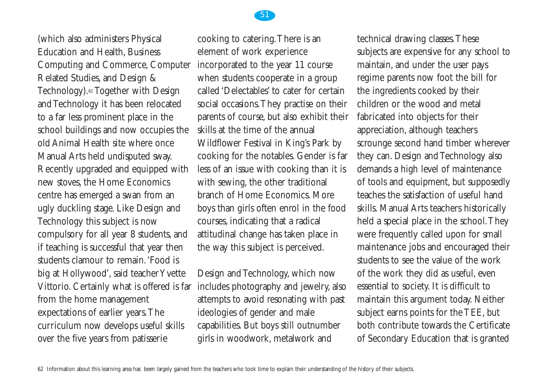(which also administers Physical Education and Health, Business Computing and Commerce, Computer Related Studies, and Design & Technology).<sup>62</sup> Together with Design and Technology it has been relocated to a far less prominent place in the school buildings and now occupies the old Animal Health site where once Manual Arts held undisputed sway. Recently upgraded and equipped with new stoves, the Home Economics centre has emerged a swan from an ugly duckling stage. Like Design and Technology this subject is now compulsory for all year 8 students, and if teaching is successful that year then students clamour to remain.'Food is big at Hollywood', said teacher Yvette Vittorio. Certainly what is offered is far from the home management expectations of earlier years.The curriculum now develops useful skills over the five years from patisserie

cooking to catering.There is an element of work experience incorporated to the year 11 course when students cooperate in a group called 'Delectables' to cater for certain social occasions.They practise on their parents of course, but also exhibit their skills at the time of the annual Wildflower Festival in King's Park by cooking for the notables. Gender is far less of an issue with cooking than it is with sewing, the other traditional branch of Home Economics. More boys than girls often enrol in the food courses, indicating that a radical attitudinal change has taken place in the way this subject is perceived.

Design and Technology, which now includes photography and jewelry, also attempts to avoid resonating with past ideologies of gender and male capabilities. But boys still outnumber girls in woodwork, metalwork and

technical drawing classes.These subjects are expensive for any school to maintain, and under the user pays regime parents now foot the bill for the ingredients cooked by their children or the wood and metal fabricated into objects for their appreciation, although teachers scrounge second hand timber wherever they can. Design and Technology also demands a high level of maintenance of tools and equipment, but supposedly teaches the satisfaction of useful hand skills. Manual Arts teachers historically held a special place in the school.They were frequently called upon for small maintenance jobs and encouraged their students to see the value of the work of the work they did as useful, even essential to society. It is difficult to maintain this argument today. Neither subject earns points for the TEE, but both contribute towards the Certificate of Secondary Education that is granted

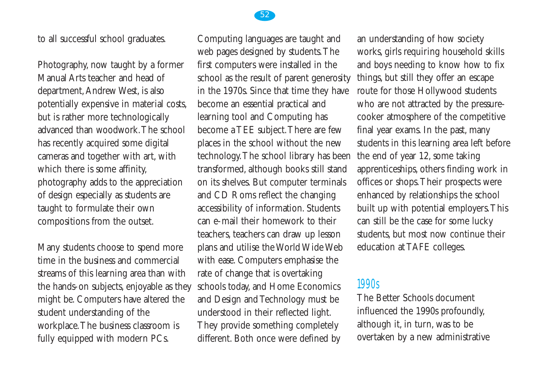to all successful school graduates.

Photography, now taught by a former Manual Arts teacher and head of department,Andrew West, is also potentially expensive in material costs, but is rather more technologically advanced than woodwork.The school has recently acquired some digital cameras and together with art, with which there is some affinity, photography adds to the appreciation of design especially as students are taught to formulate their own compositions from the outset.

Many students choose to spend more time in the business and commercial streams of this learning area than with the hands-on subjects, enjoyable as they might be. Computers have altered the student understanding of the workplace.The business classroom is fully equipped with modern PCs.

Computing languages are taught and web pages designed by students.The first computers were installed in the school as the result of parent generosity in the 1970s. Since that time they have become an essential practical and learning tool and Computing has become a TEE subject.There are few places in the school without the new technology.The school library has been transformed, although books still stand on its shelves. But computer terminals and CD Roms reflect the changing accessibility of information. Students can e-mail their homework to their teachers, teachers can draw up lesson plans and utilise the World Wide Web with ease. Computers emphasise the rate of change that is overtaking schools today, and Home Economics and Design and Technology must be understood in their reflected light. They provide something completely different. Both once were defined by

an understanding of how society works, girls requiring household skills and boys needing to know how to fix things, but still they offer an escape route for those Hollywood students who are not attracted by the pressurecooker atmosphere of the competitive final year exams. In the past, many students in this learning area left before the end of year 12, some taking apprenticeships, others finding work in offices or shops.Their prospects were enhanced by relationships the school built up with potential employers.This can still be the case for some lucky students, but most now continue their education at TAFE colleges.

## 1990s

The Better Schools document influenced the 1990s profoundly, although it, in turn, was to be overtaken by a new administrative

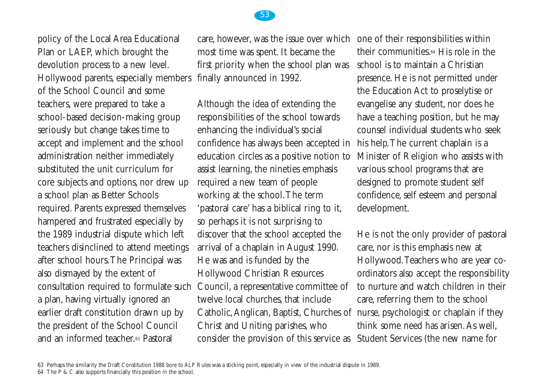policy of the Local Area Educational Plan or LAEP, which brought the devolution process to a new level. Hollywood parents, especially members of the School Council and some teachers, were prepared to take a school-based decision-making group seriously but change takes time to accept and implement and the school administration neither immediately substituted the unit curriculum for core subjects and options, nor drew up a school plan as Better Schools required. Parents expressed themselves hampered and frustrated especially by the 1989 industrial dispute which left teachers disinclined to attend meetings after school hours.The Principal was also dismayed by the extent of consultation required to formulate such a plan, having virtually ignored an earlier draft constitution drawn up by the president of the School Council and an informed teacher.63 Pastoral

care, however, was the issue over which one of their responsibilities within most time was spent. It became the first priority when the school plan was finally announced in 1992.

Although the idea of extending the responsibilities of the school towards enhancing the individual's social confidence has always been accepted in education circles as a positive notion to assist learning, the nineties emphasis required a new team of people working at the school.The term 'pastoral care' has a biblical ring to it, so perhaps it is not surprising to discover that the school accepted the arrival of a chaplain in August 1990. He was and is funded by the Hollywood Christian Resources Council, a representative committee of twelve local churches, that include Catholic,Anglican, Baptist, Churches of nurse, psychologist or chaplain if they Christ and Uniting parishes, who consider the provision of this service as

their communities.64 His role in the school is to maintain a Christian presence. He is not permitted under the Education Act to proselytise or evangelise any student, nor does he have a teaching position, but he may counsel individual students who seek his help.The current chaplain is a Minister of Religion who assists with various school programs that are designed to promote student self confidence, self esteem and personal development.

He is not the only provider of pastoral care, nor is this emphasis new at Hollywood.Teachers who are year coordinators also accept the responsibility to nurture and watch children in their care, referring them to the school think some need has arisen.As well, Student Services (the new name for

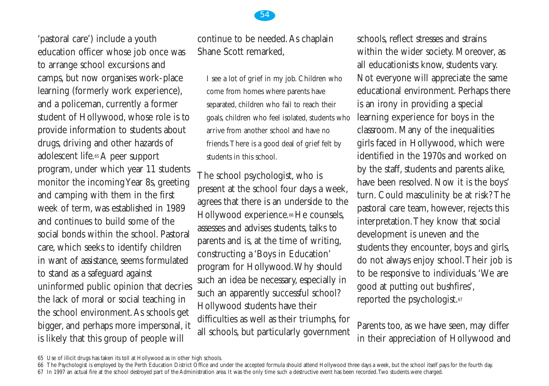'pastoral care') include a youth education officer whose job once was to arrange school excursions and camps, but now organises work-place learning (formerly work experience), and a policeman, currently a former student of Hollywood, whose role is to provide information to students about drugs, driving and other hazards of adolescent life.65 A peer support program, under which year 11 students monitor the incoming Year 8s, greeting and camping with them in the first week of term, was established in 1989 and continues to build some of the social bonds within the school. Pastoral care, which seeks to identify children in want of assistance, seems formulated to stand as a safeguard against uninformed public opinion that decries the lack of moral or social teaching in the school environment.As schools get bigger, and perhaps more impersonal, it is likely that this group of people will

54

continue to be needed.As chaplain Shane Scott remarked,

I see a lot of grief in my job. Children who come from homes where parents have separated, children who fail to reach their goals, children who feel isolated, students who arrive from another school and have no friends.There is a good deal of grief felt by students in this school.

The school psychologist, who is present at the school four days a week, agrees that there is an underside to the Hollywood experience.<sup>66</sup> He counsels, assesses and advises students, talks to parents and is, at the time of writing, constructing a 'Boys in Education' program for Hollywood.Why should such an idea be necessary, especially in such an apparently successful school? Hollywood students have their difficulties as well as their triumphs, for all schools, but particularly government schools, reflect stresses and strains within the wider society. Moreover, as all educationists know, students vary. Not everyone will appreciate the same educational environment. Perhaps there is an irony in providing a special learning experience for boys in the classroom. Many of the inequalities girls faced in Hollywood, which were identified in the 1970s and worked on by the staff, students and parents alike, have been resolved. Now it is the boys' turn. Could masculinity be at risk? The pastoral care team, however, rejects this interpretation.They know that social development is uneven and the students they encounter, boys and girls, do not always enjoy school.Their job is to be responsive to individuals.'We are good at putting out bushfires', reported the psychologist.67

Parents too, as we have seen, may differ in their appreciation of Hollywood and

<sup>65</sup> Use of illicit drugs has taken its toll at Hollywood as in other high schools.

<sup>66</sup> The Psychologist is employed by the Perth Education District Office and under the accepted formula should attend Hollywood three days a week, but the school itself pays for the fourth day.

<sup>67</sup> In 1997 an actual fire at the school destroyed part of the Administration area. It was the only time such a destructive event has been recorded.Two students were charged.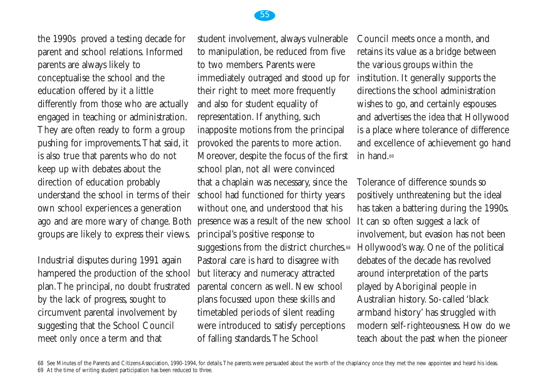

the 1990s proved a testing decade for parent and school relations. Informed parents are always likely to conceptualise the school and the education offered by it a little differently from those who are actually engaged in teaching or administration. They are often ready to form a group pushing for improvements.That said, it is also true that parents who do not keep up with debates about the direction of education probably understand the school in terms of their own school experiences a generation ago and are more wary of change. Both groups are likely to express their views.

Industrial disputes during 1991 again hampered the production of the school plan.The principal, no doubt frustrated by the lack of progress, sought to circumvent parental involvement by suggesting that the School Council meet only once a term and that

student involvement, always vulnerable to manipulation, be reduced from five to two members. Parents were immediately outraged and stood up for their right to meet more frequently and also for student equality of representation. If anything, such inapposite motions from the principal provoked the parents to more action. Moreover, despite the focus of the first school plan, not all were convinced that a chaplain was necessary, since the school had functioned for thirty years without one, and understood that his presence was a result of the new school principal's positive response to suggestions from the district churches.<sup>68</sup> Pastoral care is hard to disagree with but literacy and numeracy attracted parental concern as well. New school plans focussed upon these skills and timetabled periods of silent reading were introduced to satisfy perceptions of falling standards.The School

Council meets once a month, and retains its value as a bridge between the various groups within the institution. It generally supports the directions the school administration wishes to go, and certainly espouses and advertises the idea that Hollywood is a place where tolerance of difference and excellence of achievement go hand in hand 69

Tolerance of difference sounds so positively unthreatening but the ideal has taken a battering during the 1990s. It can so often suggest a lack of involvement, but evasion has not been Hollywood's way. One of the political debates of the decade has revolved around interpretation of the parts played by Aboriginal people in Australian history. So-called 'black armband history' has struggled with modern self-righteousness. How do we teach about the past when the pioneer

68 See Minutes of the Parents and Citizens Association, 1990-1994, for details.The parents were persuaded about the worth of the chaplaincy once they met the new appointee and heard his ideas. 69 At the time of writing student participation has been reduced to three.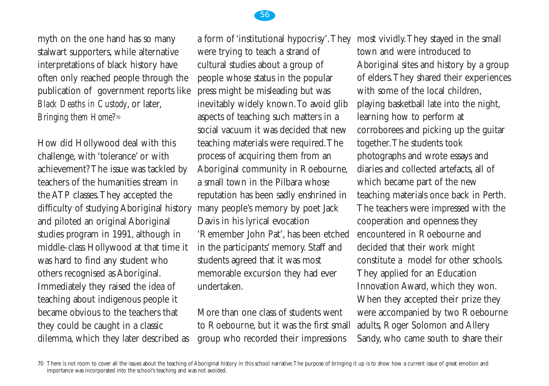

myth on the one hand has so many stalwart supporters, while alternative interpretations of black history have often only reached people through the publication of government reports like *Black Deaths in Custody*, or later, *Bringing them Home?*<sup>70</sup>

How did Hollywood deal with this challenge, with 'tolerance' or with achievement? The issue was tackled by teachers of the humanities stream in the ATP classes.They accepted the difficulty of studying Aboriginal history and piloted an original Aboriginal studies program in 1991, although in middle-class Hollywood at that time it was hard to find any student who others recognised as Aboriginal. Immediately they raised the idea of teaching about indigenous people it became obvious to the teachers that they could be caught in a classic dilemma, which they later described as

a form of 'institutional hypocrisy'.They were trying to teach a strand of cultural studies about a group of people whose status in the popular press might be misleading but was inevitably widely known.To avoid glib aspects of teaching such matters in a social vacuum it was decided that new teaching materials were required.The process of acquiring them from an Aboriginal community in Roebourne, a small town in the Pilbara whose reputation has been sadly enshrined in many people's memory by poet Jack Davis in his lyrical evocation 'Remember John Pat', has been etched in the participants' memory. Staff and students agreed that it was most memorable excursion they had ever undertaken.

More than one class of students went to Roebourne, but it was the first small group who recorded their impressions

most vividly.They stayed in the small town and were introduced to Aboriginal sites and history by a group of elders.They shared their experiences with some of the local children. playing basketball late into the night, learning how to perform at corroborees and picking up the guitar together.The students took photographs and wrote essays and diaries and collected artefacts, all of which became part of the new teaching materials once back in Perth. The teachers were impressed with the cooperation and openness they encountered in Roebourne and decided that their work might constitute a model for other schools. They applied for an Education Innovation Award, which they won. When they accepted their prize they were accompanied by two Roebourne adults, Roger Solomon and Allery Sandy, who came south to share their

<sup>70</sup> There is not room to cover all the issues about the teaching of Aboriginal history in this school narrative.The purpose of bringing it up is to show how a current issue of great emotion and importance was incorporated into the school's teaching and was not avoided.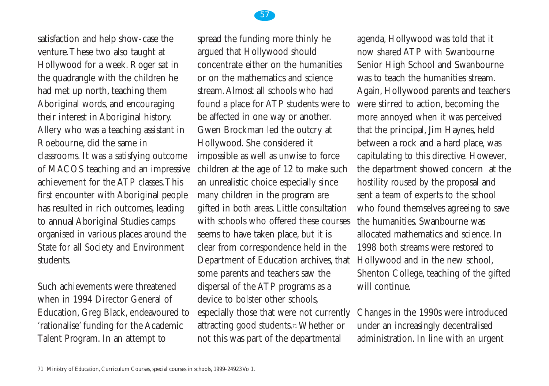

satisfaction and help show-case the venture.These two also taught at Hollywood for a week. Roger sat in the quadrangle with the children he had met up north, teaching them Aboriginal words, and encouraging their interest in Aboriginal history. Allery who was a teaching assistant in Roebourne, did the same in classrooms. It was a satisfying outcome of MACOS teaching and an impressive achievement for the ATP classes.This first encounter with Aboriginal people has resulted in rich outcomes, leading to annual Aboriginal Studies camps organised in various places around the State for all Society and Environment students.

Such achievements were threatened when in 1994 Director General of Education, Greg Black, endeavoured to 'rationalise' funding for the Academic Talent Program. In an attempt to

spread the funding more thinly he argued that Hollywood should concentrate either on the humanities or on the mathematics and science stream.Almost all schools who had found a place for ATP students were to be affected in one way or another. Gwen Brockman led the outcry at Hollywood. She considered it impossible as well as unwise to force children at the age of 12 to make such an unrealistic choice especially since many children in the program are gifted in both areas. Little consultation with schools who offered these courses seems to have taken place, but it is clear from correspondence held in the Department of Education archives, that some parents and teachers saw the dispersal of the ATP programs as a device to bolster other schools, especially those that were not currently attracting good students.71 Whether or not this was part of the departmental

agenda, Hollywood was told that it now shared ATP with Swanbourne Senior High School and Swanbourne was to teach the humanities stream. Again, Hollywood parents and teachers were stirred to action, becoming the more annoyed when it was perceived that the principal, Jim Haynes, held between a rock and a hard place, was capitulating to this directive. However, the department showed concern at the hostility roused by the proposal and sent a team of experts to the school who found themselves agreeing to save the humanities. Swanbourne was allocated mathematics and science. In 1998 both streams were restored to Hollywood and in the new school, Shenton College, teaching of the gifted will continue.

Changes in the 1990s were introduced under an increasingly decentralised administration. In line with an urgent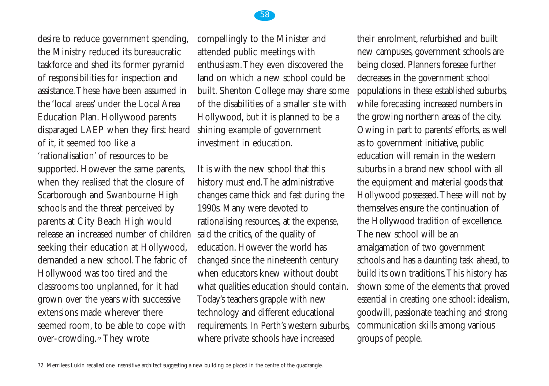

compellingly to the Minister and attended public meetings with enthusiasm.They even discovered the land on which a new school could be built. Shenton College may share some of the disabilities of a smaller site with Hollywood, but it is planned to be a shining example of government investment in education.

58

It is with the new school that this history must end.The administrative changes came thick and fast during the 1990s. Many were devoted to rationalising resources, at the expense, said the critics, of the quality of education. However the world has changed since the nineteenth century when educators knew without doubt what qualities education should contain. Today's teachers grapple with new technology and different educational requirements. In Perth's western suburbs, where private schools have increased

their enrolment, refurbished and built new campuses, government schools are being closed. Planners foresee further decreases in the government school populations in these established suburbs, while forecasting increased numbers in the growing northern areas of the city. Owing in part to parents' efforts, as well as to government initiative, public education will remain in the western suburbs in a brand new school with all the equipment and material goods that Hollywood possessed.These will not by themselves ensure the continuation of the Hollywood tradition of excellence. The new school will be an amalgamation of two government schools and has a daunting task ahead, to build its own traditions.This history has shown some of the elements that proved essential in creating one school: idealism, goodwill, passionate teaching and strong communication skills among various groups of people.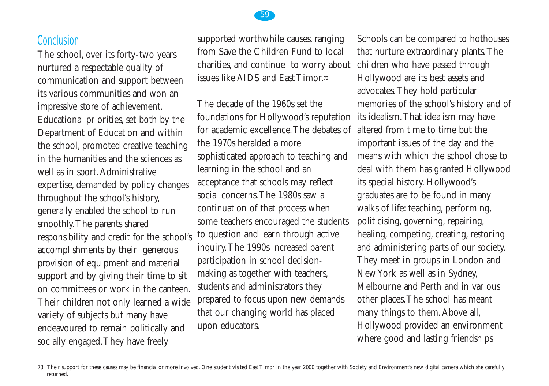#### **Conclusion**

The school, over its forty-two years nurtured a respectable quality of communication and support between its various communities and won an impressive store of achievement. Educational priorities, set both by the Department of Education and within the school, promoted creative teaching in the humanities and the sciences as well as in sport. Administrative expertise, demanded by policy changes throughout the school's history, generally enabled the school to run smoothly.The parents shared responsibility and credit for the school's accomplishments by their generous provision of equipment and material support and by giving their time to sit on committees or work in the canteen. Their children not only learned a wide variety of subjects but many have endeavoured to remain politically and socially engaged.They have freely

supported worthwhile causes, ranging from Save the Children Fund to local charities, and continue to worry about issues like AIDS and East Timor.73

The decade of the 1960s set the foundations for Hollywood's reputation for academic excellence.The debates of the 1970s heralded a more sophisticated approach to teaching and learning in the school and an acceptance that schools may reflect social concerns.The 1980s saw a continuation of that process when some teachers encouraged the students to question and learn through active inquiry.The 1990s increased parent participation in school decisionmaking as together with teachers, students and administrators they prepared to focus upon new demands that our changing world has placed upon educators.

Schools can be compared to hothouses that nurture extraordinary plants.The children who have passed through Hollywood are its best assets and advocates.They hold particular memories of the school's history and of its idealism.That idealism may have altered from time to time but the important issues of the day and the means with which the school chose to deal with them has granted Hollywood its special history. Hollywood's graduates are to be found in many walks of life: teaching, performing, politicising, governing, repairing, healing, competing, creating, restoring and administering parts of our society. They meet in groups in London and New York as well as in Sydney, Melbourne and Perth and in various other places.The school has meant many things to them.Above all, Hollywood provided an environment where good and lasting friendships



<sup>73</sup> Their support for these causes may be financial or more involved. One student visited East Timor in the year 2000 together with Society and Environment's new digital camera which she carefully returned.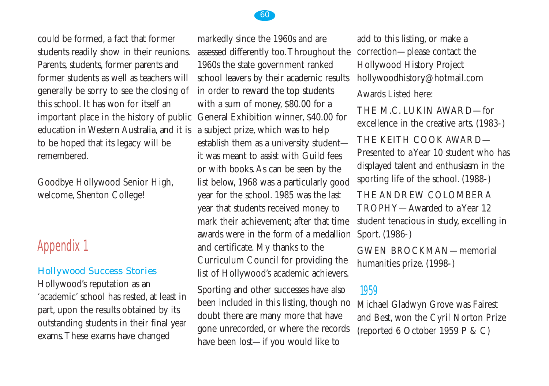

could be formed, a fact that former students readily show in their reunions. Parents, students, former parents and former students as well as teachers will generally be sorry to see the closing of this school. It has won for itself an important place in the history of public education in Western Australia, and it is to be hoped that its legacy will be remembered.

Goodbye Hollywood Senior High, welcome, Shenton College!

# Appendix 1

#### Hollywood Success Stories

Hollywood's reputation as an 'academic' school has rested, at least in part, upon the results obtained by its outstanding students in their final year exams.These exams have changed

markedly since the 1960s and are assessed differently too.Throughout the 1960s the state government ranked school leavers by their academic results in order to reward the top students with a sum of money, \$80.00 for a General Exhibition winner, \$40.00 for a subject prize, which was to help establish them as a university student it was meant to assist with Guild fees or with books.As can be seen by the list below, 1968 was a particularly good year for the school. 1985 was the last year that students received money to mark their achievement; after that time awards were in the form of a medallion Sport. (1986-) and certificate. My thanks to the Curriculum Council for providing the list of Hollywood's academic achievers.

Sporting and other successes have also been included in this listing, though no doubt there are many more that have gone unrecorded, or where the records have been lost—if you would like to

add to this listing, or make a correction—please contact the Hollywood History Project hollywoodhistory@hotmail.com Awards Listed here:

THE M.C. LUKIN AWARD—for excellence in the creative arts. (1983-)

THE KEITH COOK AWARD— Presented to a Year 10 student who has displayed talent and enthusiasm in the sporting life of the school. (1988-)

THE ANDREW COLOMBERA TROPHY—Awarded to a Year 12 student tenacious in study, excelling in

GWEN BROCKMAN—memorial humanities prize. (1998-)

#### 1959

Michael Gladwyn Grove was Fairest and Best, won the Cyril Norton Prize (reported 6 October 1959 P & C)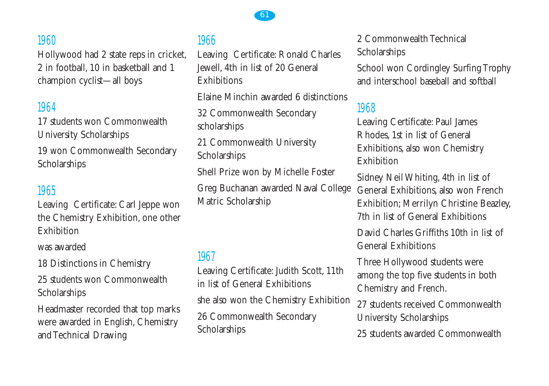## 1960

Hollywood had 2 state reps in cricket, 2 in football, 10 in basketball and 1 champion cyclist—all boys

## 1964

17 students won Commonwealth University Scholarships

19 won Commonwealth Secondary Scholarships

#### 1965

Leaving Certificate: Carl Jeppe won the Chemistry Exhibition, one other Exhibition

was awarded

18 Distinctions in Chemistry

25 students won Commonwealth Scholarships

Headmaster recorded that top marks were awarded in English, Chemistry and Technical Drawing

## 1966

Leaving Certificate: Ronald Charles Jewell, 4th in list of 20 General **Exhibitions** 

Elaine Minchin awarded 6 distinctions

32 Commonwealth Secondary scholarships

21 Commonwealth University Scholarships

Shell Prize won by Michelle Foster

Greg Buchanan awarded Naval College Matric Scholarship

#### 1967

Leaving Certificate: Judith Scott, 11th in list of General Exhibitions she also won the Chemistry Exhibition 26 Commonwealth Secondary **Scholarships** 

2 Commonwealth Technical Scholarships

School won Cordingley Surfing Trophy and interschool baseball and softball

#### 1968

Leaving Certificate: Paul James Rhodes, 1st in list of General Exhibitions, also won Chemistry Exhibition

Sidney Neil Whiting, 4th in list of General Exhibitions, also won French Exhibition; Merrilyn Christine Beazley, 7th in list of General Exhibitions

David Charles Griffiths 10th in list of General Exhibitions

Three Hollywood students were among the top five students in both Chemistry and French.

27 students received Commonwealth University Scholarships 25 students awarded Commonwealth

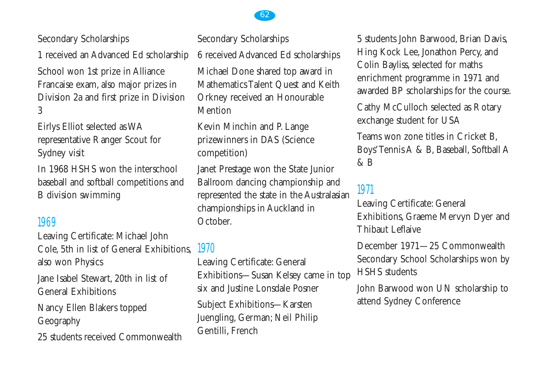Secondary Scholarships

1 received an Advanced Ed scholarship School won 1st prize in Alliance Francaise exam, also major prizes in Division 2a and first prize in Division 3

Eirlys Elliot selected as WA representative Ranger Scout for Sydney visit

In 1968 HSHS won the interschool baseball and softball competitions and B division swimming

#### 1969

Leaving Certificate: Michael John Cole, 5th in list of General Exhibitions, also won Physics

Jane Isabel Stewart, 20th in list of General Exhibitions

Nancy Ellen Blakers topped Geography

25 students received Commonwealth

Secondary Scholarships 6 received Advanced Ed scholarships Michael Done shared top award in Mathematics Talent Quest and Keith Orkney received an Honourable **Mention** 

Kevin Minchin and P. Lange prizewinners in DAS (Science competition)

Janet Prestage won the State Junior Ballroom dancing championship and represented the state in the Australasian championships in Auckland in October.

## 1970

Leaving Certificate: General Exhibitions—Susan Kelsey came in top six and Justine Lonsdale Posner

Subject Exhibitions—Karsten Juengling, German; Neil Philip Gentilli, French

5 students John Barwood, Brian Davis, Hing Kock Lee, Jonathon Percy, and Colin Bayliss, selected for maths enrichment programme in 1971 and awarded BP scholarships for the course.

Cathy McCulloch selected as Rotary exchange student for USA

Teams won zone titles in Cricket B, Boys'Tennis A & B, Baseball, Softball A  $&$  B

## 1971

Leaving Certificate: General Exhibitions, Graeme Mervyn Dyer and Thibaut Leflaive

December 1971—25 Commonwealth Secondary School Scholarships won by HSHS students

John Barwood won UN scholarship to attend Sydney Conference

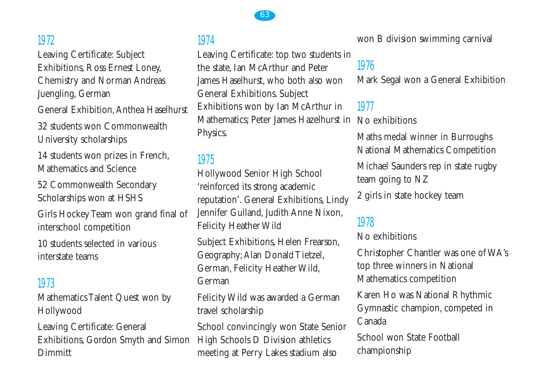## 1972

Leaving Certificate: Subject Exhibitions, Ross Ernest Loney, Chemistry and Norman Andreas Juengling, German General Exhibition,Anthea Haselhurst 32 students won Commonwealth University scholarships

14 students won prizes in French, Mathematics and Science

52 Commonwealth Secondary Scholarships won at HSHS

Girls Hockey Team won grand final of interschool competition

10 students selected in various interstate teams

## 1973

Mathematics Talent Quest won by Hollywood

Leaving Certificate: General Exhibitions, Gordon Smyth and Simon High Schools D Division athletics Dimmitt

## 1974

Leaving Certificate: top two students in the state, Ian McArthur and Peter James Haselhurst, who both also won General Exhibitions. Subject Exhibitions won by Ian McArthur in Mathematics; Peter James Hazelhurst in No exhibitions Physics.

## 1975

Hollywood Senior High School 'reinforced its strong academic reputation'. General Exhibitions, Lindy Jennifer Gulland, Judith Anne Nixon, Felicity Heather Wild

Subject Exhibitions, Helen Frearson, Geography;Alan Donald Tietzel, German, Felicity Heather Wild, German

Felicity Wild was awarded a German travel scholarship

School convincingly won State Senior meeting at Perry Lakes stadium also

won B division swimming carnival

# 1976

Mark Segal won a General Exhibition

# 1977

Maths medal winner in Burroughs National Mathematics Competition Michael Saunders rep in state rugby team going to NZ

2 girls in state hockey team

# 1978

No exhibitions

Christopher Chantler was one of WA's top three winners in National Mathematics competition

Karen Ho was National Rhythmic Gymnastic champion, competed in Canada

School won State Football championship

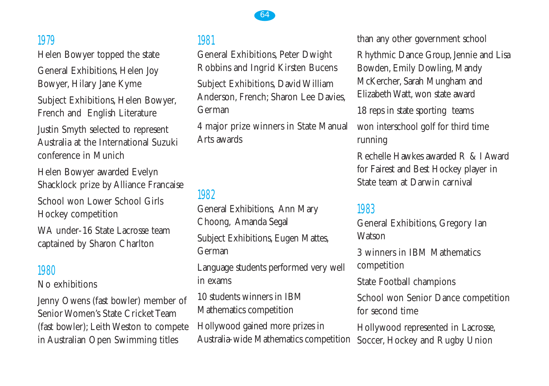## 1979

Helen Bowyer topped the state General Exhibitions, Helen Joy Bowyer, Hilary Jane Kyme Subject Exhibitions, Helen Bowyer, French and English Literature Justin Smyth selected to represent Australia at the International Suzuki conference in Munich

Helen Bowyer awarded Evelyn Shacklock prize by Alliance Francaise School won Lower School Girls Hockey competition WA under-16 State Lacrosse team captained by Sharon Charlton

#### 1980

No exhibitions

Jenny Owens (fast bowler) member of Senior Women's State Cricket Team (fast bowler); Leith Weston to compete in Australian Open Swimming titles

#### 1981

General Exhibitions, Peter Dwight Robbins and Ingrid Kirsten Bucens Subject Exhibitions, David William Anderson, French; Sharon Lee Davies, German

64

4 major prize winners in State Manual Arts awards

# 1982

General Exhibitions, Ann Mary Choong, Amanda Segal Subject Exhibitions, Eugen Mattes, German

Language students performed very well in exams

10 students winners in IBM Mathematics competition

Hollywood gained more prizes in Australia-wide Mathematics competition than any other government school

Rhythmic Dance Group, Jennie and Lisa Bowden, Emily Dowling, Mandy McKercher, Sarah Mungham and Elizabeth Watt, won state award

18 reps in state sporting teams

won interschool golf for third time running

Rechelle Hawkes awarded R & I Award for Fairest and Best Hockey player in State team at Darwin carnival

#### 1983

General Exhibitions, Gregory Ian **Watson** 

3 winners in IBM Mathematics competition

State Football champions

School won Senior Dance competition for second time

Hollywood represented in Lacrosse, Soccer, Hockey and Rugby Union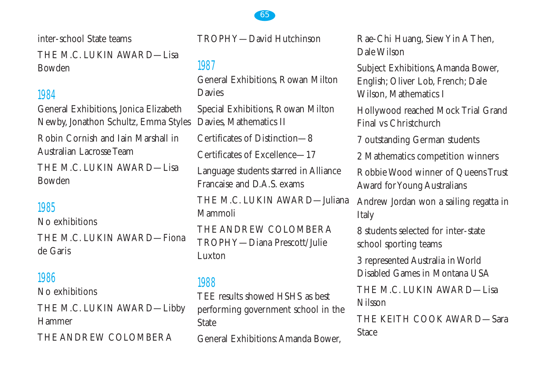inter-school State teams THE M.C. LUKIN AWARD—Lisa Bowden

## 1984

General Exhibitions, Jonica Elizabeth Newby, Jonathon Schultz, Emma Styles Robin Cornish and Iain Marshall in Australian Lacrosse Team THE M.C. LUKIN AWARD—Lisa

Bowden

## 1985

No exhibitions THE M.C. LUKIN AWARD—Fiona de Garis

## 1986

No exhibitions

THE M.C. LUKIN AWARD—Libby Hammer THE ANDREW COLOMBERA

TROPHY—David Hutchinson

# 1987

General Exhibitions, Rowan Milton Davies

Special Exhibitions, Rowan Milton Davies, Mathematics II

Certificates of Distinction—8

Certificates of Excellence—17

Language students starred in Alliance Francaise and D.A.S. exams

THE M.C. LUKIN AWARD—Juliana Mammoli

THE ANDREW COLOMBERA TROPHY—Diana Prescott/Julie Luxton

#### 1988

TEE results showed HSHS as best performing government school in the State

General Exhibitions:Amanda Bower,

Rae-Chi Huang, Siew Yin A Then, Dale Wilson

Subject Exhibitions,Amanda Bower, English; Oliver Lob, French; Dale Wilson, Mathematics I

Hollywood reached Mock Trial Grand Final vs Christchurch

7 outstanding German students

2 Mathematics competition winners

Robbie Wood winner of Queens Trust Award for Young Australians

Andrew Jordan won a sailing regatta in Italy

8 students selected for inter-state school sporting teams

3 represented Australia in World Disabled Games in Montana USA

THE M.C. LUKIN AWARD—Lisa Nilsson

THE KEITH COOK AWARD—Sara Stace

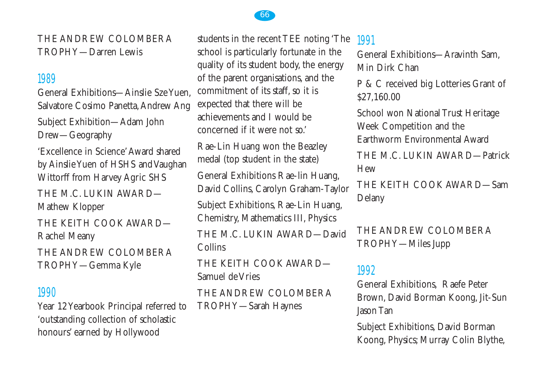THE ANDREW COLOMBERA TROPHY—Darren Lewis

#### 1989

General Exhibitions—Ainslie Sze Yuen, Salvatore Cosimo Panetta, Andrew Ang Subject Exhibition—Adam John

Drew—Geography

'Excellence in Science'Award shared by Ainslie Yuen of HSHS and Vaughan Wittorff from Harvey Agric SHS

THE M.C. LUKIN AWARD— Mathew Klopper

THE KEITH COOK AWARD— Rachel Meany

THE ANDREW COLOMBERA TROPHY—Gemma Kyle

#### 1990

Year 12 Yearbook Principal referred to 'outstanding collection of scholastic honours' earned by Hollywood

students in the recent TEE noting 'The school is particularly fortunate in the quality of its student body, the energy of the parent organisations, and the commitment of its staff, so it is expected that there will be achievements and I would be concerned if it were not so.'

Rae-Lin Huang won the Beazley medal (top student in the state)

General Exhibitions Rae-lin Huang, David Collins, Carolyn Graham-Taylor

Subject Exhibitions, Rae-Lin Huang, Chemistry, Mathematics III, Physics

THE M.C. LUKIN AWARD—David Collins

THE KEITH COOK AWARD— Samuel de Vries

THE ANDREW COLOMBERA TROPHY—Sarah Haynes

## 1991

General Exhibitions—Aravinth Sam, Min Dirk Chan

P & C received big Lotteries Grant of \$27,160.00

School won National Trust Heritage Week Competition and the Earthworm Environmental Award

THE M.C. LUKIN AWARD—Patrick Hew

THE KEITH COOK AWARD—Sam Delany

THE ANDREW COLOMBERA TROPHY—Miles Jupp

## 1992

General Exhibitions, Raefe Peter Brown, David Borman Koong, Jit-Sun Jason Tan

Subject Exhibitions, David Borman Koong, Physics; Murray Colin Blythe,

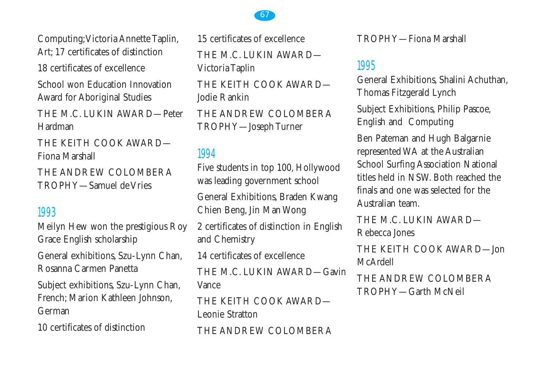Computing;Victoria Annette Taplin, Art; 17 certificates of distinction

18 certificates of excellence

School won Education Innovation Award for Aboriginal Studies

THE M.C. LUKIN AWARD—Peter Hardman

THE KEITH COOK AWARD— Fiona Marshall

THE ANDREW COLOMBERA TROPHY—Samuel de Vries

## 1993

Meilyn Hew won the prestigious Roy Grace English scholarship

General exhibitions, Szu-Lynn Chan, Rosanna Carmen Panetta

Subject exhibitions, Szu-Lynn Chan, French; Marion Kathleen Johnson, German

10 certificates of distinction

15 certificates of excellence THE M.C. LUKIN AWARD— Victoria Taplin THE KEITH COOK AWARD— Jodie Rankin THE ANDREW COLOMBERA TROPHY—Joseph Turner

## 1994

Five students in top 100, Hollywood was leading government school General Exhibitions, Braden Kwang Chien Beng, Jin Man Wong 2 certificates of distinction in English and Chemistry 14 certificates of excellence THE M.C. LUKIN AWARD—Gavin Vance THE KEITH COOK AWARD— Leonie Stratton THE ANDREW COLOMBERA

TROPHY—Fiona Marshall

# 1995

General Exhibitions, Shalini Achuthan, Thomas Fitzgerald Lynch Subject Exhibitions, Philip Pascoe, English and Computing

Ben Pateman and Hugh Balgarnie represented WA at the Australian School Surfing Association National titles held in NSW. Both reached the finals and one was selected for the Australian team.

THE M.C. LUKIN AWARD— Rebecca Jones

THE KEITH COOK AWARD—Jon McArdell

THE ANDREW COLOMBERA TROPHY—Garth McNeil

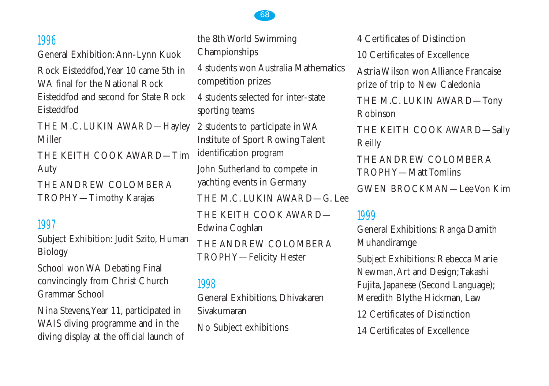#### 1996

General Exhibition:Ann-Lynn Kuok

Rock Eisteddfod,Year 10 came 5th in WA final for the National Rock Eisteddfod and second for State Rock Eisteddfod

THE M.C. LUKIN AWARD—Hayley Miller

THE KEITH COOK AWARD—Tim Auty

THE ANDREW COLOMBERA TROPHY—Timothy Karajas

## 1997

Subject Exhibition: Judit Szito, Human Biology

School won WA Debating Final convincingly from Christ Church Grammar School

Nina Stevens,Year 11, participated in WAIS diving programme and in the diving display at the official launch of the 8th World Swimming Championships

4 students won Australia Mathematics competition prizes

4 students selected for inter-state sporting teams

2 students to participate in WA Institute of Sport Rowing Talent identification program

John Sutherland to compete in yachting events in Germany

THE M.C. LUKIN AWARD—G. Lee

THE KEITH COOK AWARD— Edwina Coghlan

THE ANDREW COLOMBERA TROPHY—Felicity Hester

## 1998

General Exhibitions, Dhivakaren Sivakumaran

No Subject exhibitions

4 Certificates of Distinction

10 Certificates of Excellence

Astria Wilson won Alliance Francaise prize of trip to New Caledonia

THE M.C. LUKIN AWARD—Tony Robinson

THE KEITH COOK AWARD—Sally Reilly

THE ANDREW COLOMBERA TROPHY—Matt Tomlins

GWEN BROCKMAN—Lee Von Kim

#### 1999

General Exhibitions: Ranga Damith Muhandiramge

Subject Exhibitions: Rebecca Marie Newman,Art and Design;Takashi Fujita, Japanese (Second Language); Meredith Blythe Hickman, Law

12 Certificates of Distinction

14 Certificates of Excellence

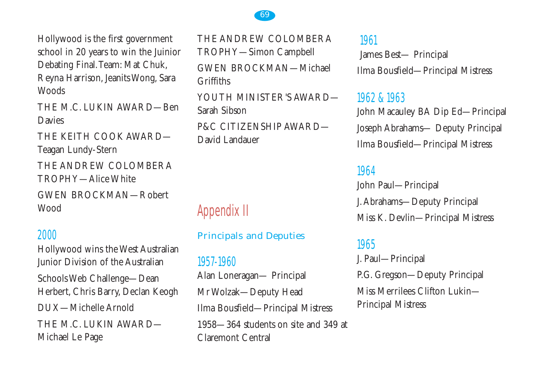Hollywood is the first government school in 20 years to win the Juinior Debating Final.Team: Mat Chuk, Reyna Harrison, Jeanits Wong, Sara **Woods** 

THE M.C. LUKIN AWARD—Ben Davies

THE KEITH COOK AWARD— Teagan Lundy-Stern

THE ANDREW COLOMBERA TROPHY—Alice White

GWEN BROCKMAN—Robert Wood

#### 2000

Hollywood wins the West Australian Junior Division of the Australian Schools Web Challenge—Dean Herbert, Chris Barry, Declan Keogh DUX—Michelle Arnold THE M.C. LUKIN AWARD— Michael Le Page

THE ANDREW COLOMBERA TROPHY—Simon Campbell

GWEN BROCKMAN—Michael **Griffiths** 

YOUTH MINISTER'S AWARD— Sarah Sibson

P&C CITIZENSHIP AWARD— David Landauer

# Appendix II

#### Principals and Deputies

1957-1960

Alan Loneragan— Principal Mr Wolzak—Deputy Head Ilma Bousfield—Principal Mistress 1958—364 students on site and 349 at Claremont Central

#### 1961

James Best— Principal Ilma Bousfield—Principal Mistress

#### 1962 & 1963

John Macauley BA Dip Ed—Principal Joseph Abrahams— Deputy Principal Ilma Bousfield—Principal Mistress

#### 1964

John Paul—Principal J.Abrahams—Deputy Principal Miss K. Devlin—Principal Mistress

#### 1965

J. Paul—Principal P.G. Gregson—Deputy Principal Miss Merrilees Clifton Lukin— Principal Mistress

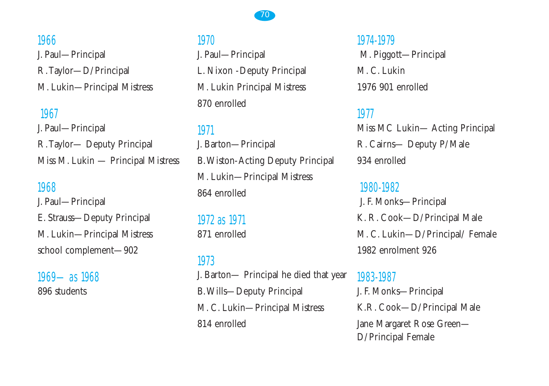#### 70

# 1966 J. Paul—Principal R.Taylor—D/Principal M. Lukin—Principal Mistress

#### 1967

J. Paul—Principal R.Taylor— Deputy Principal Miss M. Lukin — Principal Mistress

#### 1968

J. Paul—Principal E. Strauss—Deputy Principal M. Lukin—Principal Mistress school complement—902

1969—as 1968 896 students

#### 1970

J. Paul—Principal L. Nixon -Deputy Principal M. Lukin Principal Mistress 870 enrolled

## 1971

J. Barton—Principal B.Wiston-Acting Deputy Principal M. Lukin—Principal Mistress 864 enrolled

1972 as 1971 871 enrolled

## 1973

J. Barton— Principal he died that year B.Wills—Deputy Principal M. C. Lukin—Principal Mistress 814 enrolled

# 1974-1979 M. Piggott—Principal M. C. Lukin 1976 901 enrolled

#### 1977

Miss MC Lukin— Acting Principal R. Cairns— Deputy P/Male 934 enrolled

1980-1982 J. F. Monks—Principal K. R. Cook—D/Principal Male M. C. Lukin—D/Principal/ Female 1982 enrolment 926

1983-1987 J. F. Monks—Principal K.R. Cook—D/Principal Male Jane Margaret Rose Green— D/Principal Female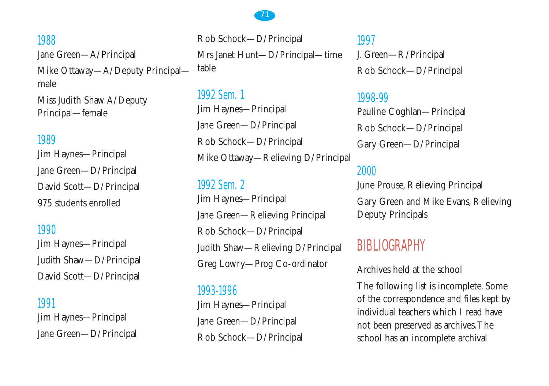

1988 Jane Green—A/Principal Mike Ottaway—A/Deputy Principal male

Miss Judith Shaw A/Deputy Principal—female

#### 1989

Jim Haynes—Principal Jane Green—D/Principal David Scott—D/Principal 975 students enrolled

## 1990

Jim Haynes—Principal Judith Shaw—D/Principal David Scott—D/Principal

#### 1991

Jim Haynes—Principal Jane Green—D/Principal

Rob Schock—D/Principal Mrs Janet Hunt—D/Principal—time table

1992 Sem. 1 Jim Haynes—Principal Jane Green—D/Principal Rob Schock—D/Principal Mike Ottaway—Relieving D/Principal

## 1992 Sem. 2

Jim Haynes—Principal Jane Green—Relieving Principal Rob Schock—D/Principal Judith Shaw—Relieving D/Principal Greg Lowry—Prog Co-ordinator

#### 1993-1996

Jim Haynes—Principal Jane Green—D/Principal Rob Schock—D/Principal 1997 J. Green—R/Principal Rob Schock—D/Principal

#### 1998-99

Pauline Coghlan—Principal Rob Schock—D/Principal Gary Green—D/Principal

#### 2000

June Prouse, Relieving Principal Gary Green and Mike Evans, Relieving Deputy Principals

# BIBLIOGRAPHY

Archives held at the school

The following list is incomplete. Some of the correspondence and files kept by individual teachers which I read have not been preserved as archives.The school has an incomplete archival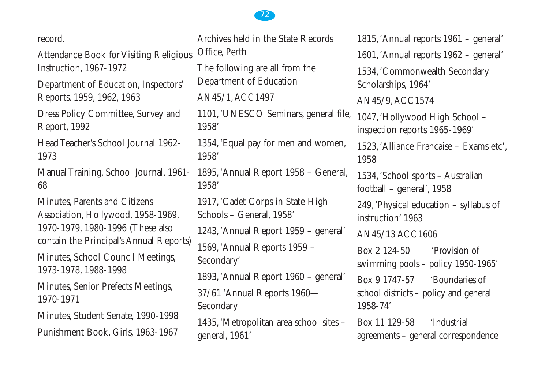record.

Attendance Book for Visiting Religious Instruction, 1967-1972

Department of Education, Inspectors' Reports, 1959, 1962, 1963

Dress Policy Committee, Survey and Report, 1992

Head Teacher's School Journal 1962- 1973

Manual Training, School Journal, 1961- 68

Minutes, Parents and Citizens Association, Hollywood, 1958-1969, 1970-1979, 1980-1996 (These also contain the Principal's Annual Reports) Minutes, School Council Meetings, 1973-1978, 1988-1998

Minutes, Senior Prefects Meetings, 1970-1971

Minutes, Student Senate, 1990-1998 Punishment Book, Girls, 1963-1967

Archives held in the State Records Office, Perth The following are all from the Department of Education AN45/1,ACC1497 1101,'UNESCO Seminars, general file, 1958' 1354,'Equal pay for men and women, 1958' 1895,'Annual Report 1958 – General, 1958' 1917,'Cadet Corps in State High Schools – General, 1958' 1243,'Annual Report 1959 – general' 1569,'Annual Reports 1959 – Secondary' 1893,'Annual Report 1960 – general' 37/61 'Annual Reports 1960— Secondary

1435,'Metropolitan area school sites – general, 1961'

1815,'Annual reports 1961 – general' 1601,'Annual reports 1962 – general' 1534,'Commonwealth Secondary Scholarships, 1964' AN45/9,ACC1574 1047,'Hollywood High School – inspection reports 1965-1969' 1523,'Alliance Francaise – Exams etc', 1958 1534,'School sports – Australian football – general', 1958 249,'Physical education – syllabus of instruction' 1963 AN45/13 ACC1606 Box 2 124-50 'Provision of swimming pools – policy 1950-1965' Box 9 1747-57 'Boundaries of school districts – policy and general 1958-74' Box 11 129-58 'Industrial agreements – general correspondence

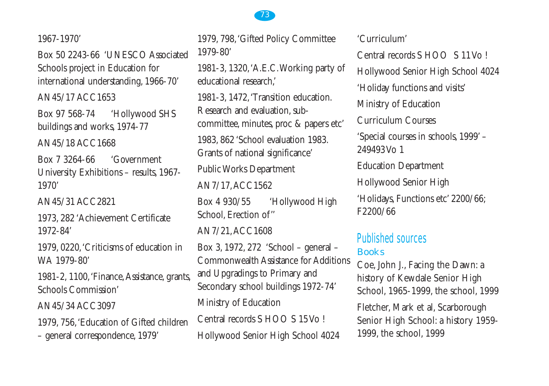1967-1970'

Box 50 2243-66 'UNESCO Associated Schools project in Education for international understanding, 1966-70'

AN45/17 ACC1653

Box 97 568-74 'Hollywood SHS buildings and works, 1974-77

AN45/18 ACC1668

Box 7 3264-66 'Government University Exhibitions – results, 1967- 1970'

AN45/31 ACC2821

1973, 282 'Achievement Certificate 1972-84'

1979, 0220,'Criticisms of education in WA 1979-80'

1981-2, 1100,'Finance,Assistance, grants, Schools Commission'

AN45/34 ACC3097

1979, 756,'Education of Gifted children – general correspondence, 1979'

1979, 798,'Gifted Policy Committee 1979-80'

1981-3, 1320,'A.E.C.Working party of educational research,'

1981-3, 1472,'Transition education. Research and evaluation, subcommittee, minutes, proc & papers etc' 1983, 862 'School evaluation 1983. Grants of national significance'

Public Works Department

AN7/17,ACC1562

Box 4 930/55 'Hollywood High School, Erection of''

AN7/21,ACC1608

Box 3, 1972, 272 'School – general – Commonwealth Assistance for Additions and Upgradings to Primary and Secondary school buildings 1972-74' Ministry of Education Central records S HOO S 15 Vo ! Hollywood Senior High School 4024

'Curriculum'

Central records S HOO S 11 Vo ! Hollywood Senior High School 4024 'Holiday functions and visits' Ministry of Education Curriculum Courses 'Special courses in schools, 1999' – 249493 Vo 1 Education Department Hollywood Senior High 'Holidays, Functions etc' 2200/66; F2200/66

## Published sources Books

Coe, John J., Facing the Dawn: a history of Kewdale Senior High School, 1965-1999, the school, 1999

Fletcher, Mark et al, Scarborough Senior High School: a history 1959- 1999, the school, 1999

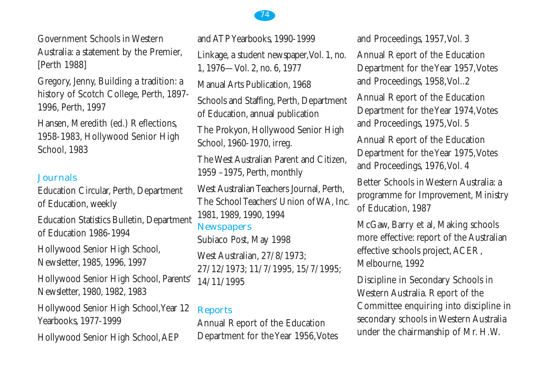Government Schools in Western Australia: a statement by the Premier, [Perth 1988]

Gregory, Jenny, Building a tradition: a history of Scotch College, Perth, 1897- 1996, Perth, 1997

Hansen, Meredith (ed.) Reflections, 1958-1983, Hollywood Senior High School, 1983

## Journals

Education Circular, Perth, Department of Education, weekly

Education Statistics Bulletin, Department of Education 1986-1994

Hollywood Senior High School, Newsletter, 1985, 1996, 1997

Hollywood Senior High School, Parents' Newsletter, 1980, 1982, 1983

Hollywood Senior High School,Year 12 Yearbooks, 1977-1999

Hollywood Senior High School,AEP

and ATP Yearbooks, 1990-1999 Linkage, a student newspaper, Vol. 1, no. 1, 1976—Vol. 2, no. 6, 1977 Manual Arts Publication, 1968 Schools and Staffing, Perth, Department of Education, annual publication The Prokyon, Hollywood Senior High School, 1960-1970, irreg. The West Australian Parent and Citizen, 1959 –1975, Perth, monthly West Australian Teachers Journal, Perth, The School Teachers' Union of WA, Inc. 1981, 1989, 1990, 1994 **Newspapers** Subiaco Post, May 1998 West Australian, 27/8/1973; 27/12/1973; 11/7/1995, 15/7/1995; 14/11/1995 Reports

Annual Report of the Education Department for the Year 1956,Votes and Proceedings, 1957,Vol. 3

Annual Report of the Education Department for the Year 1957,Votes and Proceedings, 1958,Vol..2

Annual Report of the Education Department for the Year 1974,Votes and Proceedings, 1975,Vol. 5

Annual Report of the Education Department for the Year 1975,Votes and Proceedings, 1976,Vol. 4

Better Schools in Western Australia: a programme for Improvement, Ministry of Education, 1987

McGaw, Barry et al, Making schools more effective: report of the Australian effective schools project,ACER, Melbourne, 1992

Discipline in Secondary Schools in Western Australia. Report of the Committee enquiring into discipline in secondary schools in Western Australia under the chairmanship of Mr. H.W.